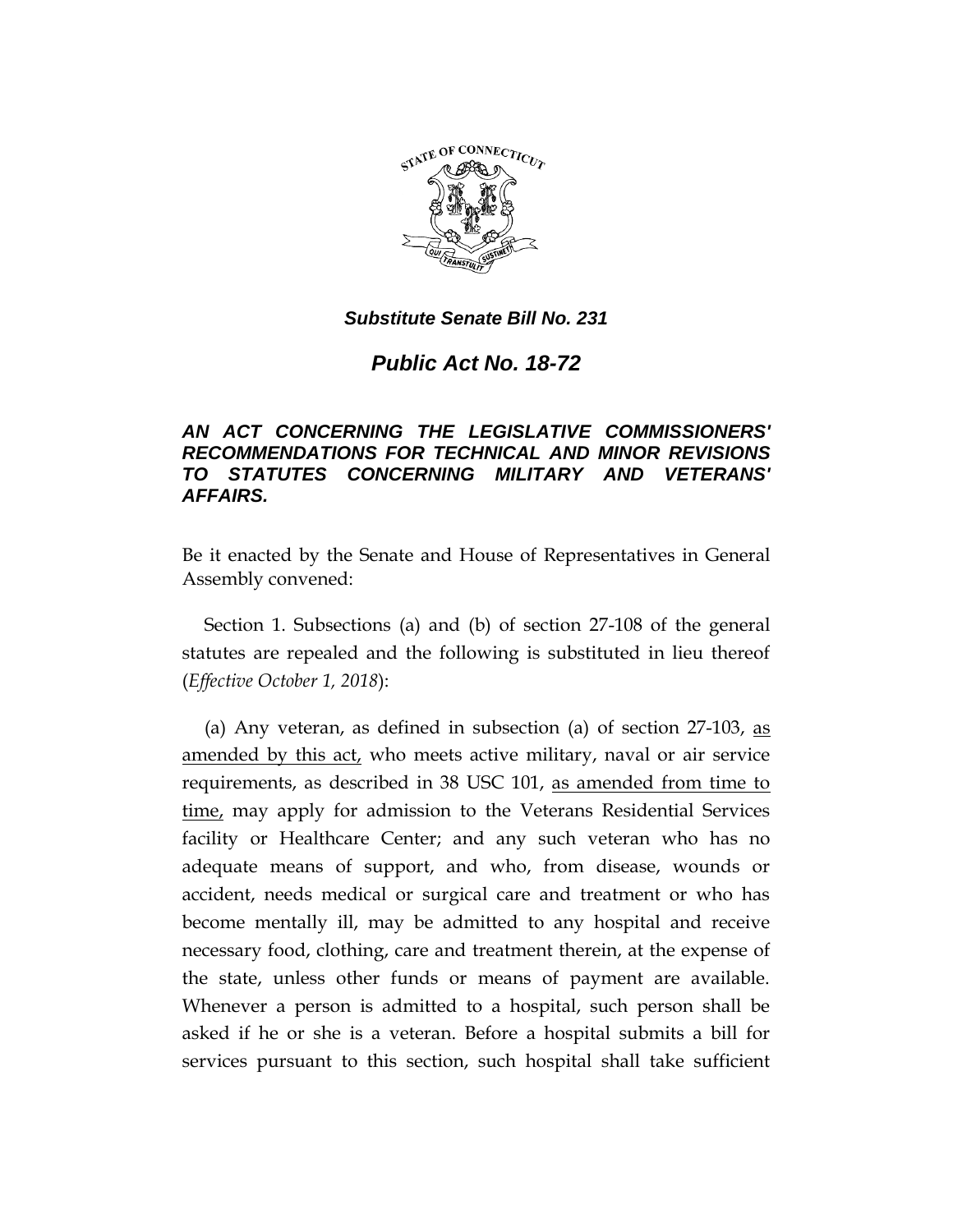

*Public Act No. 18-72*

# *AN ACT CONCERNING THE LEGISLATIVE COMMISSIONERS' RECOMMENDATIONS FOR TECHNICAL AND MINOR REVISIONS TO STATUTES CONCERNING MILITARY AND VETERANS' AFFAIRS.*

Be it enacted by the Senate and House of Representatives in General Assembly convened:

Section 1. Subsections (a) and (b) of section 27-108 of the general statutes are repealed and the following is substituted in lieu thereof (*Effective October 1, 2018*):

(a) Any veteran, as defined in subsection (a) of section 27-103, as amended by this act, who meets active military, naval or air service requirements, as described in 38 USC 101, as amended from time to time, may apply for admission to the Veterans Residential Services facility or Healthcare Center; and any such veteran who has no adequate means of support, and who, from disease, wounds or accident, needs medical or surgical care and treatment or who has become mentally ill, may be admitted to any hospital and receive necessary food, clothing, care and treatment therein, at the expense of the state, unless other funds or means of payment are available. Whenever a person is admitted to a hospital, such person shall be asked if he or she is a veteran. Before a hospital submits a bill for services pursuant to this section, such hospital shall take sufficient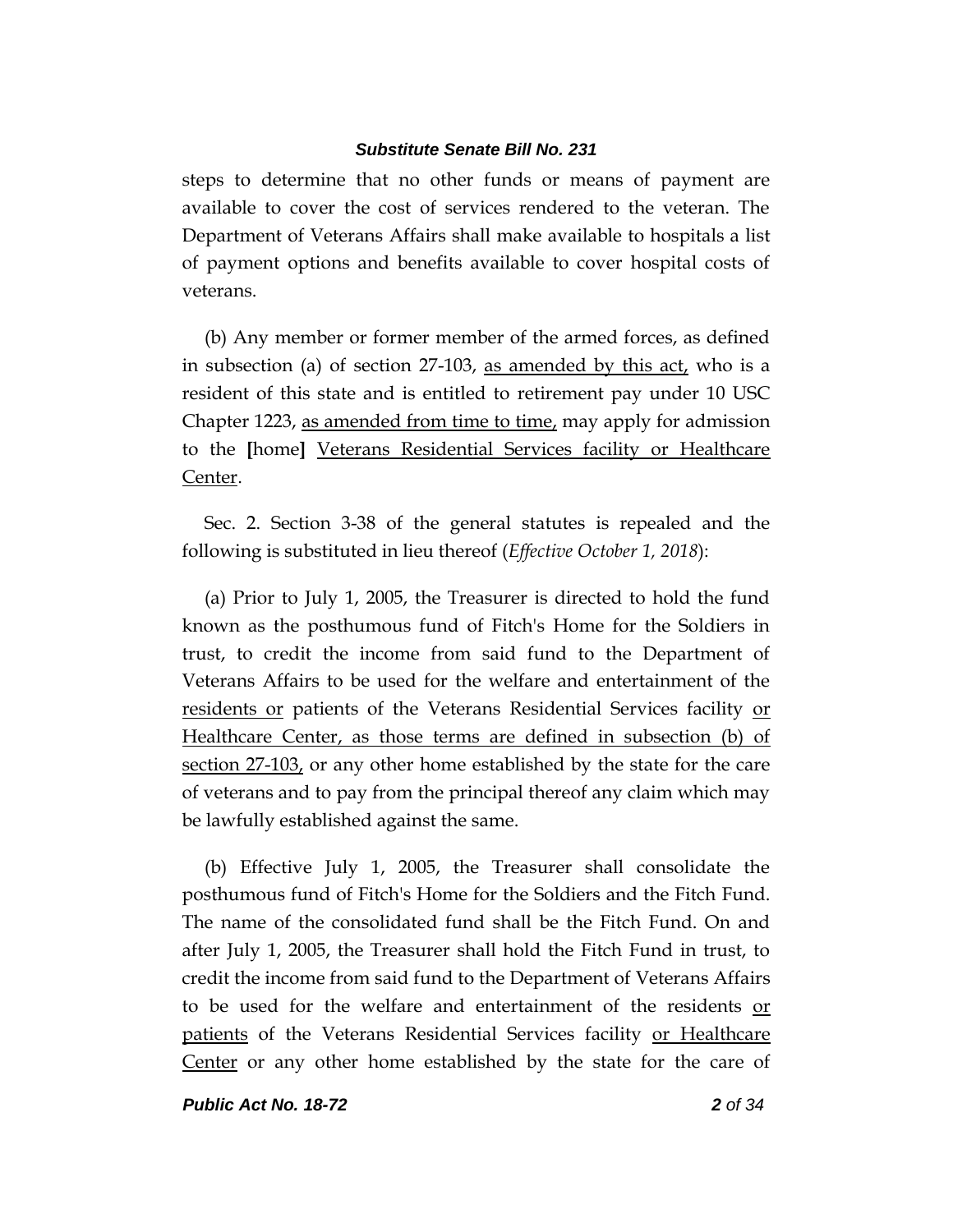steps to determine that no other funds or means of payment are available to cover the cost of services rendered to the veteran. The Department of Veterans Affairs shall make available to hospitals a list of payment options and benefits available to cover hospital costs of veterans.

(b) Any member or former member of the armed forces, as defined in subsection (a) of section 27-103, <u>as amended by this act</u>, who is a resident of this state and is entitled to retirement pay under 10 USC Chapter 1223, as amended from time to time, may apply for admission to the **[**home**]** Veterans Residential Services facility or Healthcare Center.

Sec. 2. Section 3-38 of the general statutes is repealed and the following is substituted in lieu thereof (*Effective October 1, 2018*):

(a) Prior to July 1, 2005, the Treasurer is directed to hold the fund known as the posthumous fund of Fitch's Home for the Soldiers in trust, to credit the income from said fund to the Department of Veterans Affairs to be used for the welfare and entertainment of the residents or patients of the Veterans Residential Services facility or Healthcare Center, as those terms are defined in subsection (b) of section 27-103, or any other home established by the state for the care of veterans and to pay from the principal thereof any claim which may be lawfully established against the same.

(b) Effective July 1, 2005, the Treasurer shall consolidate the posthumous fund of Fitch's Home for the Soldiers and the Fitch Fund. The name of the consolidated fund shall be the Fitch Fund. On and after July 1, 2005, the Treasurer shall hold the Fitch Fund in trust, to credit the income from said fund to the Department of Veterans Affairs to be used for the welfare and entertainment of the residents or patients of the Veterans Residential Services facility or Healthcare Center or any other home established by the state for the care of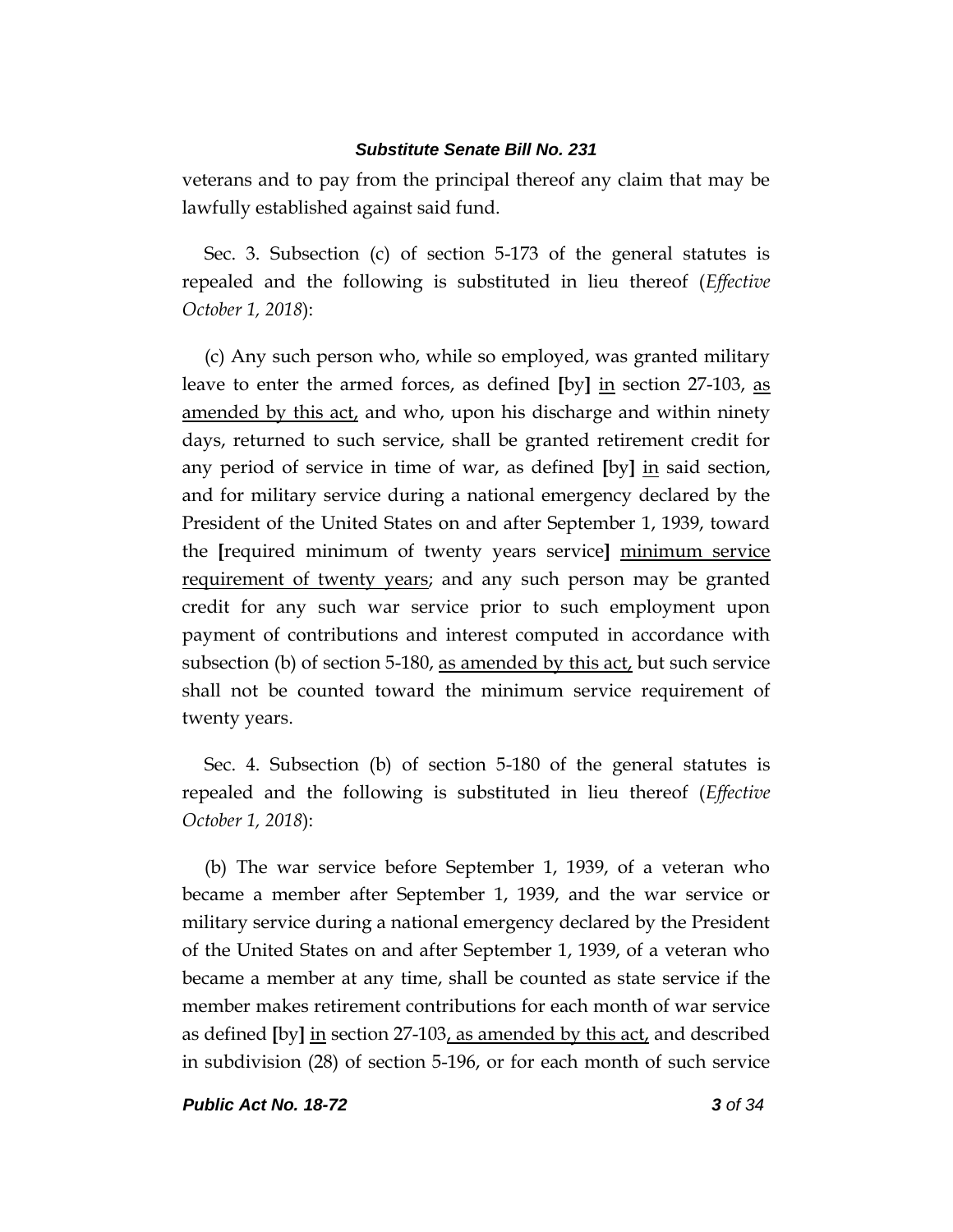veterans and to pay from the principal thereof any claim that may be lawfully established against said fund.

Sec. 3. Subsection (c) of section 5-173 of the general statutes is repealed and the following is substituted in lieu thereof (*Effective October 1, 2018*):

(c) Any such person who, while so employed, was granted military leave to enter the armed forces, as defined **[**by**]** in section 27-103, as amended by this act, and who, upon his discharge and within ninety days, returned to such service, shall be granted retirement credit for any period of service in time of war, as defined **[**by**]** in said section, and for military service during a national emergency declared by the President of the United States on and after September 1, 1939, toward the **[**required minimum of twenty years service**]** minimum service requirement of twenty years; and any such person may be granted credit for any such war service prior to such employment upon payment of contributions and interest computed in accordance with subsection (b) of section 5-180, as amended by this act, but such service shall not be counted toward the minimum service requirement of twenty years.

Sec. 4. Subsection (b) of section 5-180 of the general statutes is repealed and the following is substituted in lieu thereof (*Effective October 1, 2018*):

(b) The war service before September 1, 1939, of a veteran who became a member after September 1, 1939, and the war service or military service during a national emergency declared by the President of the United States on and after September 1, 1939, of a veteran who became a member at any time, shall be counted as state service if the member makes retirement contributions for each month of war service as defined **[**by**]** in section 27-103, as amended by this act, and described in subdivision (28) of section 5-196, or for each month of such service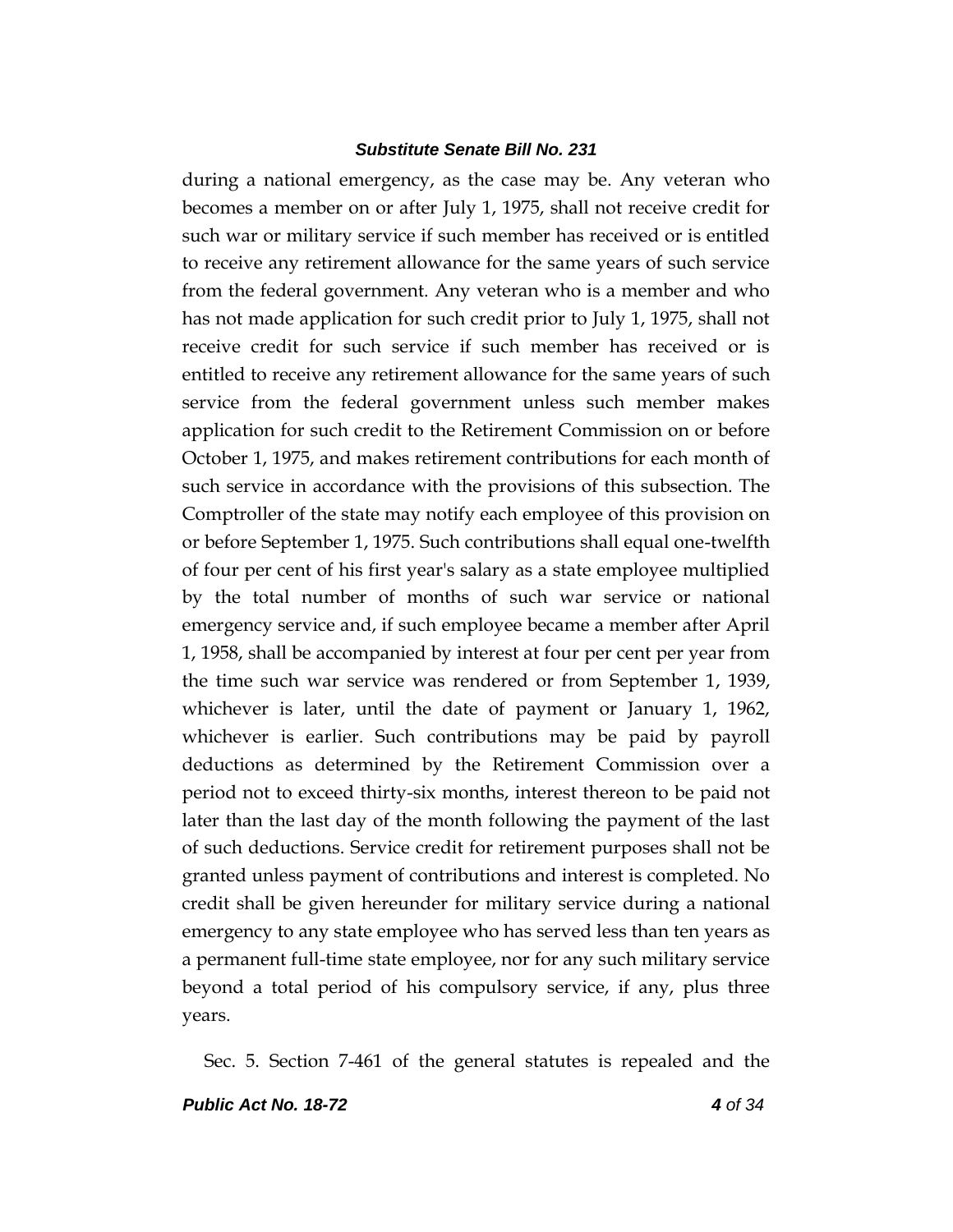during a national emergency, as the case may be. Any veteran who becomes a member on or after July 1, 1975, shall not receive credit for such war or military service if such member has received or is entitled to receive any retirement allowance for the same years of such service from the federal government. Any veteran who is a member and who has not made application for such credit prior to July 1, 1975, shall not receive credit for such service if such member has received or is entitled to receive any retirement allowance for the same years of such service from the federal government unless such member makes application for such credit to the Retirement Commission on or before October 1, 1975, and makes retirement contributions for each month of such service in accordance with the provisions of this subsection. The Comptroller of the state may notify each employee of this provision on or before September 1, 1975. Such contributions shall equal one-twelfth of four per cent of his first year's salary as a state employee multiplied by the total number of months of such war service or national emergency service and, if such employee became a member after April 1, 1958, shall be accompanied by interest at four per cent per year from the time such war service was rendered or from September 1, 1939, whichever is later, until the date of payment or January 1, 1962, whichever is earlier. Such contributions may be paid by payroll deductions as determined by the Retirement Commission over a period not to exceed thirty-six months, interest thereon to be paid not later than the last day of the month following the payment of the last of such deductions. Service credit for retirement purposes shall not be granted unless payment of contributions and interest is completed. No credit shall be given hereunder for military service during a national emergency to any state employee who has served less than ten years as a permanent full-time state employee, nor for any such military service beyond a total period of his compulsory service, if any, plus three years.

Sec. 5. Section 7-461 of the general statutes is repealed and the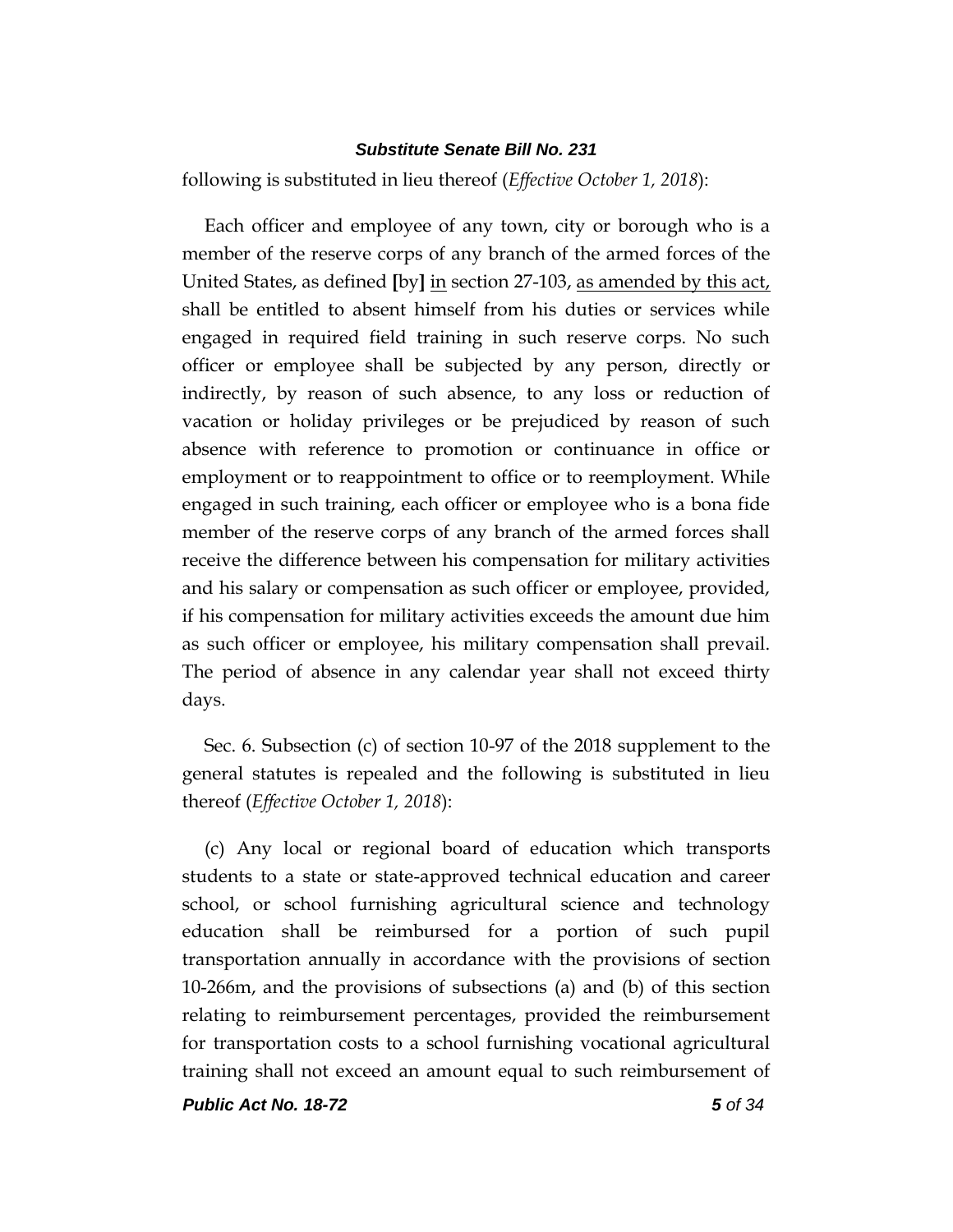following is substituted in lieu thereof (*Effective October 1, 2018*):

Each officer and employee of any town, city or borough who is a member of the reserve corps of any branch of the armed forces of the United States, as defined **[**by**]** in section 27-103, as amended by this act, shall be entitled to absent himself from his duties or services while engaged in required field training in such reserve corps. No such officer or employee shall be subjected by any person, directly or indirectly, by reason of such absence, to any loss or reduction of vacation or holiday privileges or be prejudiced by reason of such absence with reference to promotion or continuance in office or employment or to reappointment to office or to reemployment. While engaged in such training, each officer or employee who is a bona fide member of the reserve corps of any branch of the armed forces shall receive the difference between his compensation for military activities and his salary or compensation as such officer or employee, provided, if his compensation for military activities exceeds the amount due him as such officer or employee, his military compensation shall prevail. The period of absence in any calendar year shall not exceed thirty days.

Sec. 6. Subsection (c) of section 10-97 of the 2018 supplement to the general statutes is repealed and the following is substituted in lieu thereof (*Effective October 1, 2018*):

(c) Any local or regional board of education which transports students to a state or state-approved technical education and career school, or school furnishing agricultural science and technology education shall be reimbursed for a portion of such pupil transportation annually in accordance with the provisions of section 10-266m, and the provisions of subsections (a) and (b) of this section relating to reimbursement percentages, provided the reimbursement for transportation costs to a school furnishing vocational agricultural training shall not exceed an amount equal to such reimbursement of

*Public Act No. 18-72 5 of 34*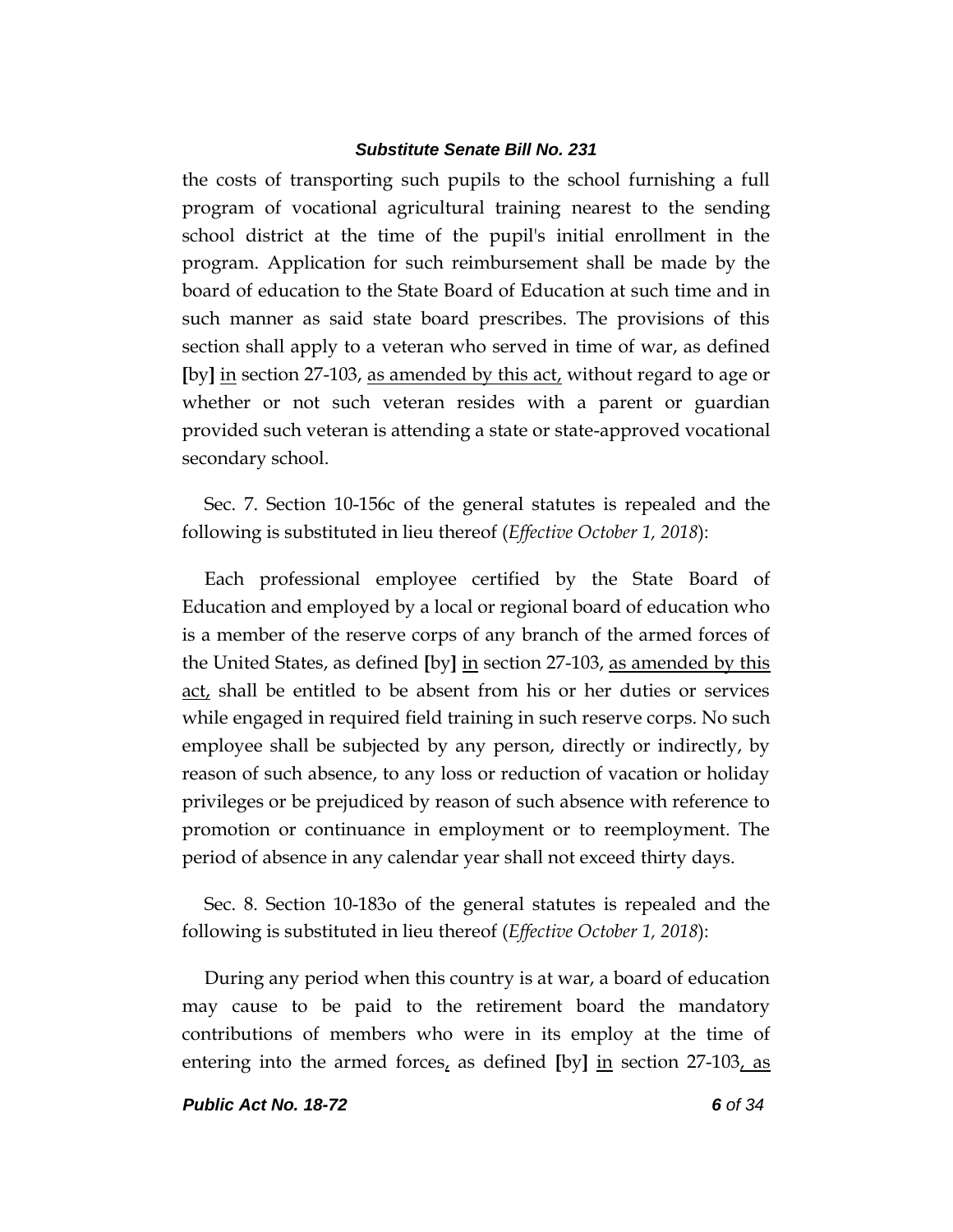the costs of transporting such pupils to the school furnishing a full program of vocational agricultural training nearest to the sending school district at the time of the pupil's initial enrollment in the program. Application for such reimbursement shall be made by the board of education to the State Board of Education at such time and in such manner as said state board prescribes. The provisions of this section shall apply to a veteran who served in time of war, as defined **[**by**]** in section 27-103, as amended by this act, without regard to age or whether or not such veteran resides with a parent or guardian provided such veteran is attending a state or state-approved vocational secondary school.

Sec. 7. Section 10-156c of the general statutes is repealed and the following is substituted in lieu thereof (*Effective October 1, 2018*):

Each professional employee certified by the State Board of Education and employed by a local or regional board of education who is a member of the reserve corps of any branch of the armed forces of the United States, as defined **[**by**]** in section 27-103, as amended by this act, shall be entitled to be absent from his or her duties or services while engaged in required field training in such reserve corps. No such employee shall be subjected by any person, directly or indirectly, by reason of such absence, to any loss or reduction of vacation or holiday privileges or be prejudiced by reason of such absence with reference to promotion or continuance in employment or to reemployment. The period of absence in any calendar year shall not exceed thirty days.

Sec. 8. Section 10-183o of the general statutes is repealed and the following is substituted in lieu thereof (*Effective October 1, 2018*):

During any period when this country is at war, a board of education may cause to be paid to the retirement board the mandatory contributions of members who were in its employ at the time of entering into the armed forces, as defined **[**by**]** in section 27-103, as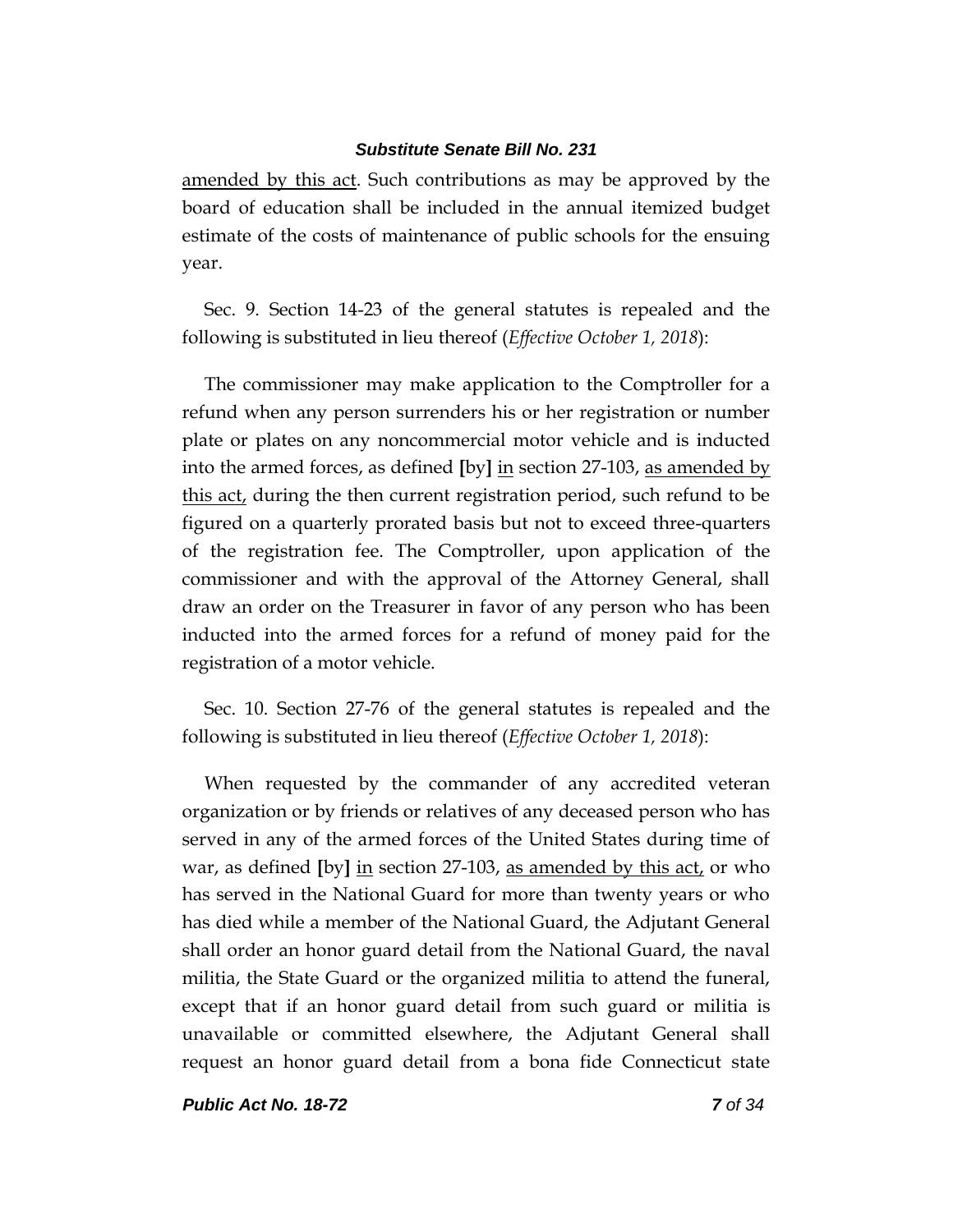amended by this act. Such contributions as may be approved by the board of education shall be included in the annual itemized budget estimate of the costs of maintenance of public schools for the ensuing year.

Sec. 9. Section 14-23 of the general statutes is repealed and the following is substituted in lieu thereof (*Effective October 1, 2018*):

The commissioner may make application to the Comptroller for a refund when any person surrenders his or her registration or number plate or plates on any noncommercial motor vehicle and is inducted into the armed forces, as defined **[**by**]** in section 27-103, as amended by this act, during the then current registration period, such refund to be figured on a quarterly prorated basis but not to exceed three-quarters of the registration fee. The Comptroller, upon application of the commissioner and with the approval of the Attorney General, shall draw an order on the Treasurer in favor of any person who has been inducted into the armed forces for a refund of money paid for the registration of a motor vehicle.

Sec. 10. Section 27-76 of the general statutes is repealed and the following is substituted in lieu thereof (*Effective October 1, 2018*):

When requested by the commander of any accredited veteran organization or by friends or relatives of any deceased person who has served in any of the armed forces of the United States during time of war, as defined **[**by**]** in section 27-103, as amended by this act, or who has served in the National Guard for more than twenty years or who has died while a member of the National Guard, the Adjutant General shall order an honor guard detail from the National Guard, the naval militia, the State Guard or the organized militia to attend the funeral, except that if an honor guard detail from such guard or militia is unavailable or committed elsewhere, the Adjutant General shall request an honor guard detail from a bona fide Connecticut state

*Public Act No. 18-72 7 of 34*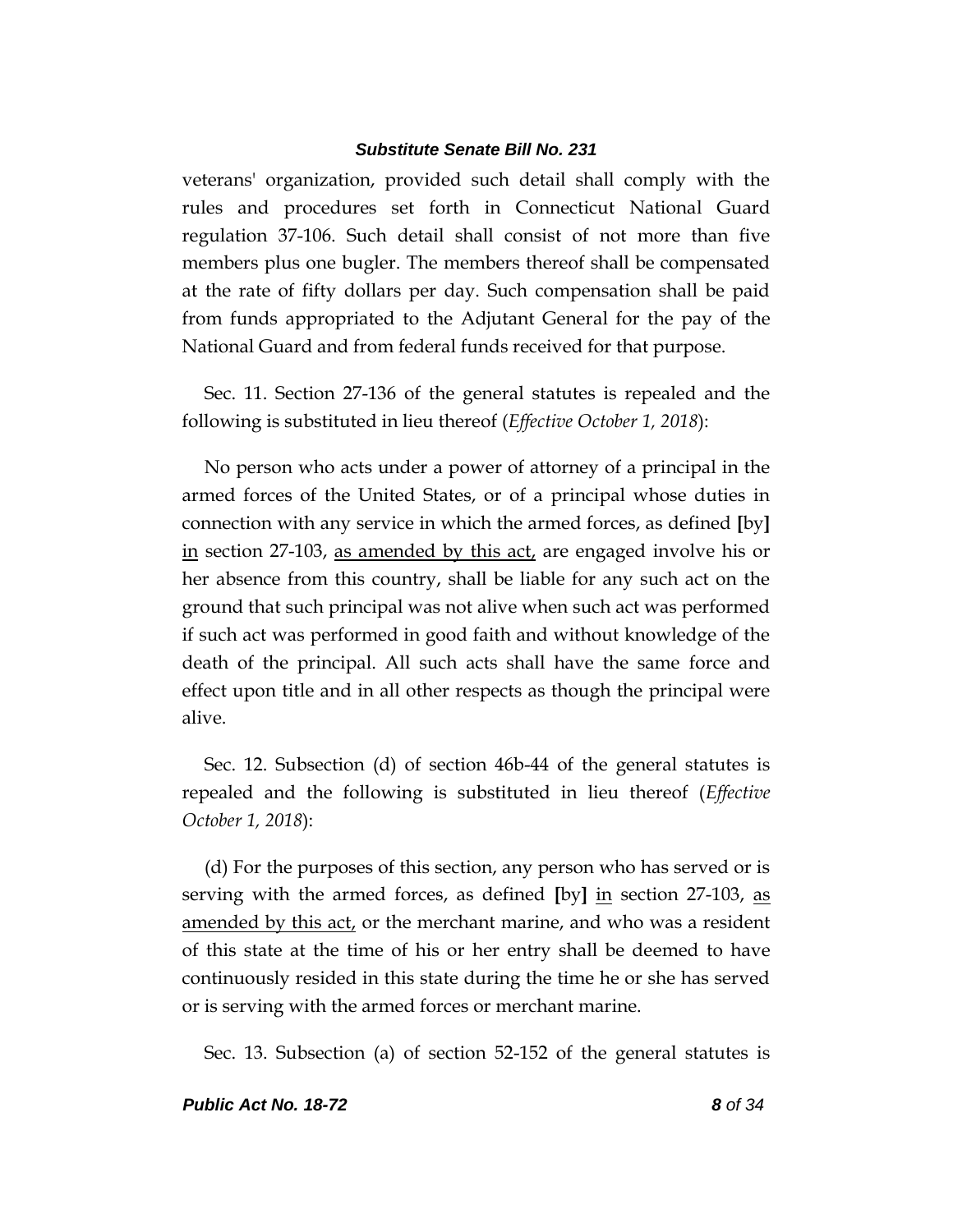veterans' organization, provided such detail shall comply with the rules and procedures set forth in Connecticut National Guard regulation 37-106. Such detail shall consist of not more than five members plus one bugler. The members thereof shall be compensated at the rate of fifty dollars per day. Such compensation shall be paid from funds appropriated to the Adjutant General for the pay of the National Guard and from federal funds received for that purpose.

Sec. 11. Section 27-136 of the general statutes is repealed and the following is substituted in lieu thereof (*Effective October 1, 2018*):

No person who acts under a power of attorney of a principal in the armed forces of the United States, or of a principal whose duties in connection with any service in which the armed forces, as defined **[**by**]** in section 27-103, as amended by this act, are engaged involve his or her absence from this country, shall be liable for any such act on the ground that such principal was not alive when such act was performed if such act was performed in good faith and without knowledge of the death of the principal. All such acts shall have the same force and effect upon title and in all other respects as though the principal were alive.

Sec. 12. Subsection (d) of section 46b-44 of the general statutes is repealed and the following is substituted in lieu thereof (*Effective October 1, 2018*):

(d) For the purposes of this section, any person who has served or is serving with the armed forces, as defined **[**by**]** in section 27-103, as amended by this act, or the merchant marine, and who was a resident of this state at the time of his or her entry shall be deemed to have continuously resided in this state during the time he or she has served or is serving with the armed forces or merchant marine.

Sec. 13. Subsection (a) of section 52-152 of the general statutes is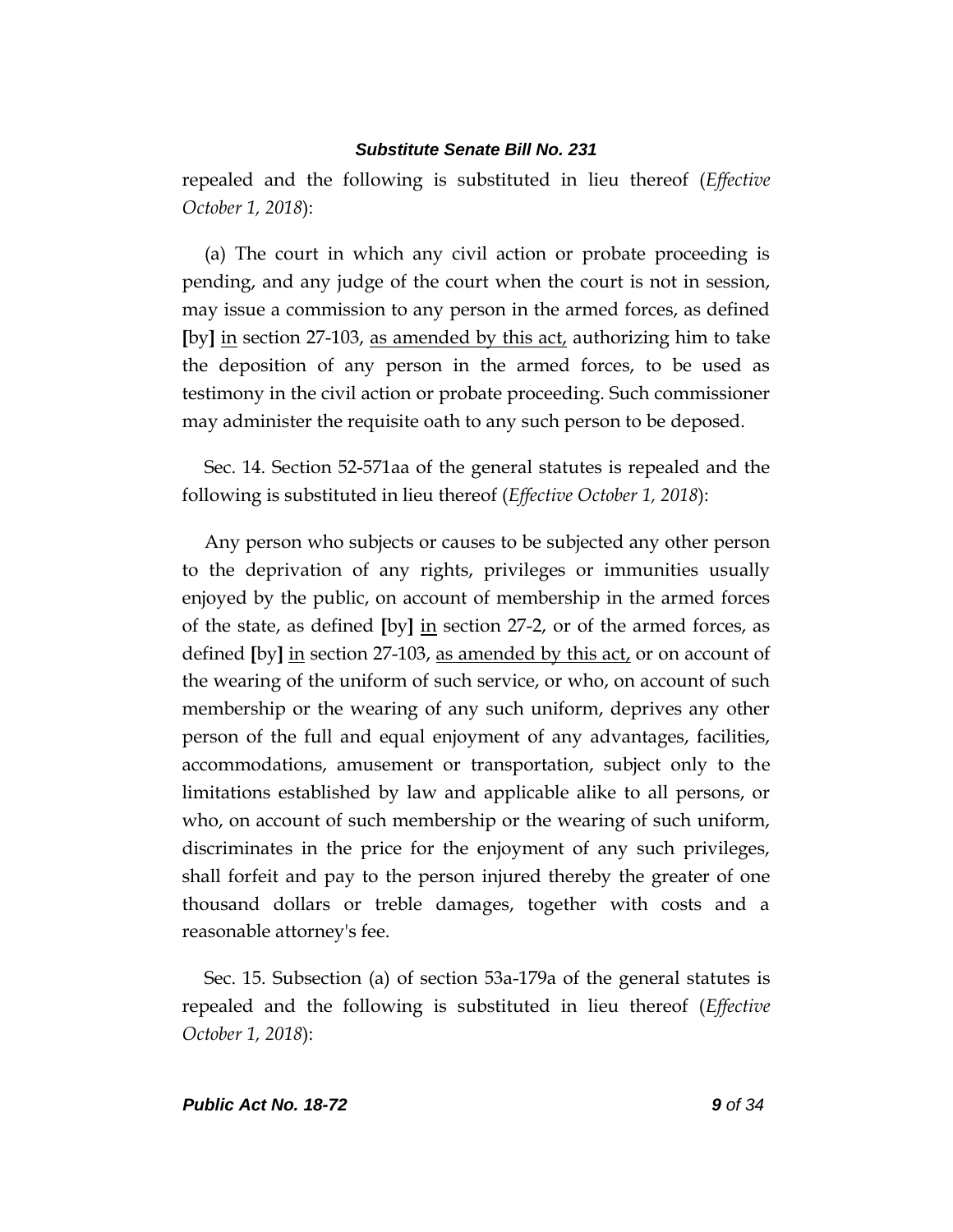repealed and the following is substituted in lieu thereof (*Effective October 1, 2018*):

(a) The court in which any civil action or probate proceeding is pending, and any judge of the court when the court is not in session, may issue a commission to any person in the armed forces, as defined **[**by**]** in section 27-103, as amended by this act, authorizing him to take the deposition of any person in the armed forces, to be used as testimony in the civil action or probate proceeding. Such commissioner may administer the requisite oath to any such person to be deposed.

Sec. 14. Section 52-571aa of the general statutes is repealed and the following is substituted in lieu thereof (*Effective October 1, 2018*):

Any person who subjects or causes to be subjected any other person to the deprivation of any rights, privileges or immunities usually enjoyed by the public, on account of membership in the armed forces of the state, as defined **[**by**]** in section 27-2, or of the armed forces, as defined **[**by**]** in section 27-103, as amended by this act, or on account of the wearing of the uniform of such service, or who, on account of such membership or the wearing of any such uniform, deprives any other person of the full and equal enjoyment of any advantages, facilities, accommodations, amusement or transportation, subject only to the limitations established by law and applicable alike to all persons, or who, on account of such membership or the wearing of such uniform, discriminates in the price for the enjoyment of any such privileges, shall forfeit and pay to the person injured thereby the greater of one thousand dollars or treble damages, together with costs and a reasonable attorney's fee.

Sec. 15. Subsection (a) of section 53a-179a of the general statutes is repealed and the following is substituted in lieu thereof (*Effective October 1, 2018*):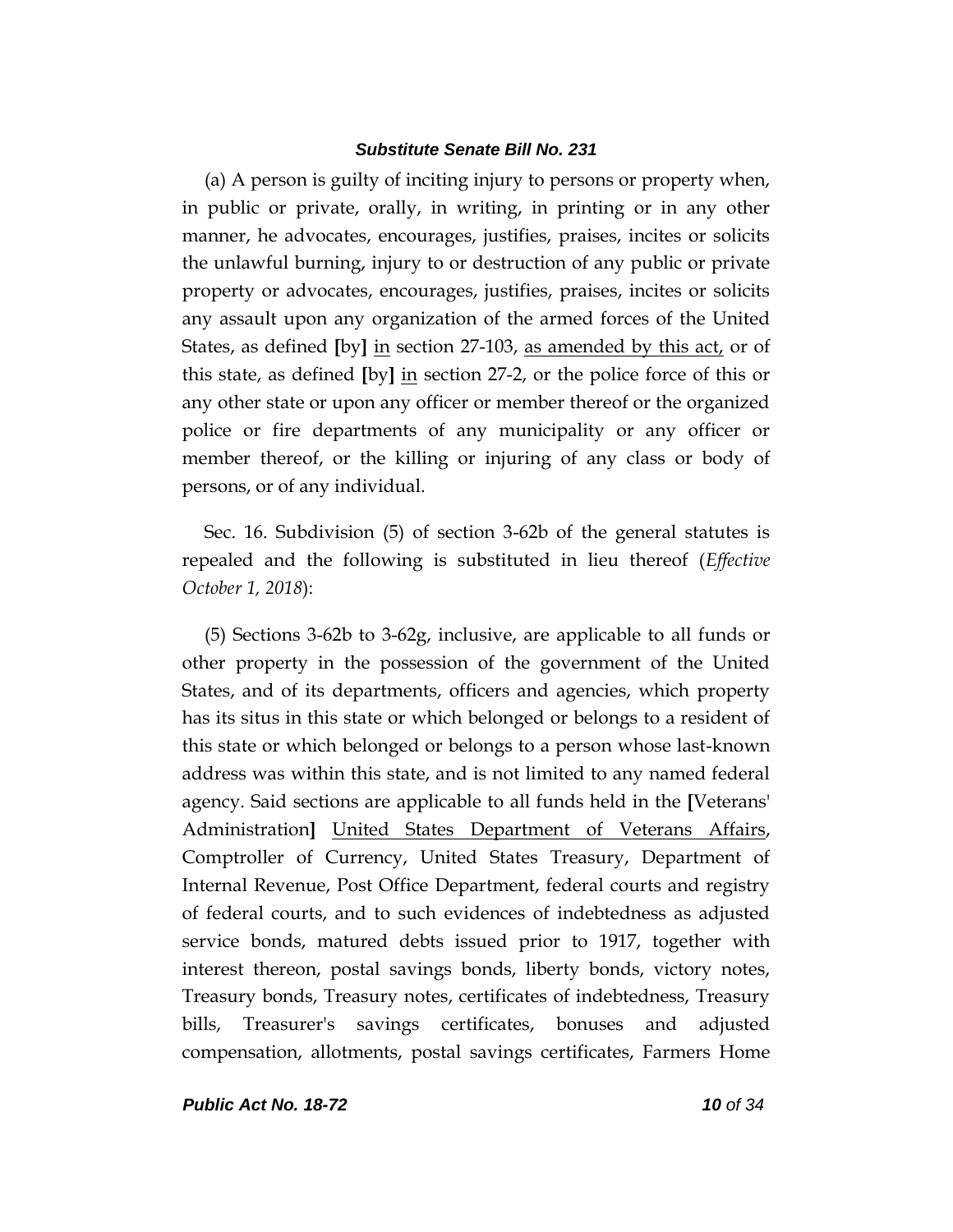(a) A person is guilty of inciting injury to persons or property when, in public or private, orally, in writing, in printing or in any other manner, he advocates, encourages, justifies, praises, incites or solicits the unlawful burning, injury to or destruction of any public or private property or advocates, encourages, justifies, praises, incites or solicits any assault upon any organization of the armed forces of the United States, as defined **[**by**]** in section 27-103, as amended by this act, or of this state, as defined **[**by**]** in section 27-2, or the police force of this or any other state or upon any officer or member thereof or the organized police or fire departments of any municipality or any officer or member thereof, or the killing or injuring of any class or body of persons, or of any individual.

Sec. 16. Subdivision (5) of section 3-62b of the general statutes is repealed and the following is substituted in lieu thereof (*Effective October 1, 2018*):

(5) Sections 3-62b to 3-62g, inclusive, are applicable to all funds or other property in the possession of the government of the United States, and of its departments, officers and agencies, which property has its situs in this state or which belonged or belongs to a resident of this state or which belonged or belongs to a person whose last-known address was within this state, and is not limited to any named federal agency. Said sections are applicable to all funds held in the **[**Veterans' Administration**]** United States Department of Veterans Affairs, Comptroller of Currency, United States Treasury, Department of Internal Revenue, Post Office Department, federal courts and registry of federal courts, and to such evidences of indebtedness as adjusted service bonds, matured debts issued prior to 1917, together with interest thereon, postal savings bonds, liberty bonds, victory notes, Treasury bonds, Treasury notes, certificates of indebtedness, Treasury bills, Treasurer's savings certificates, bonuses and adjusted compensation, allotments, postal savings certificates, Farmers Home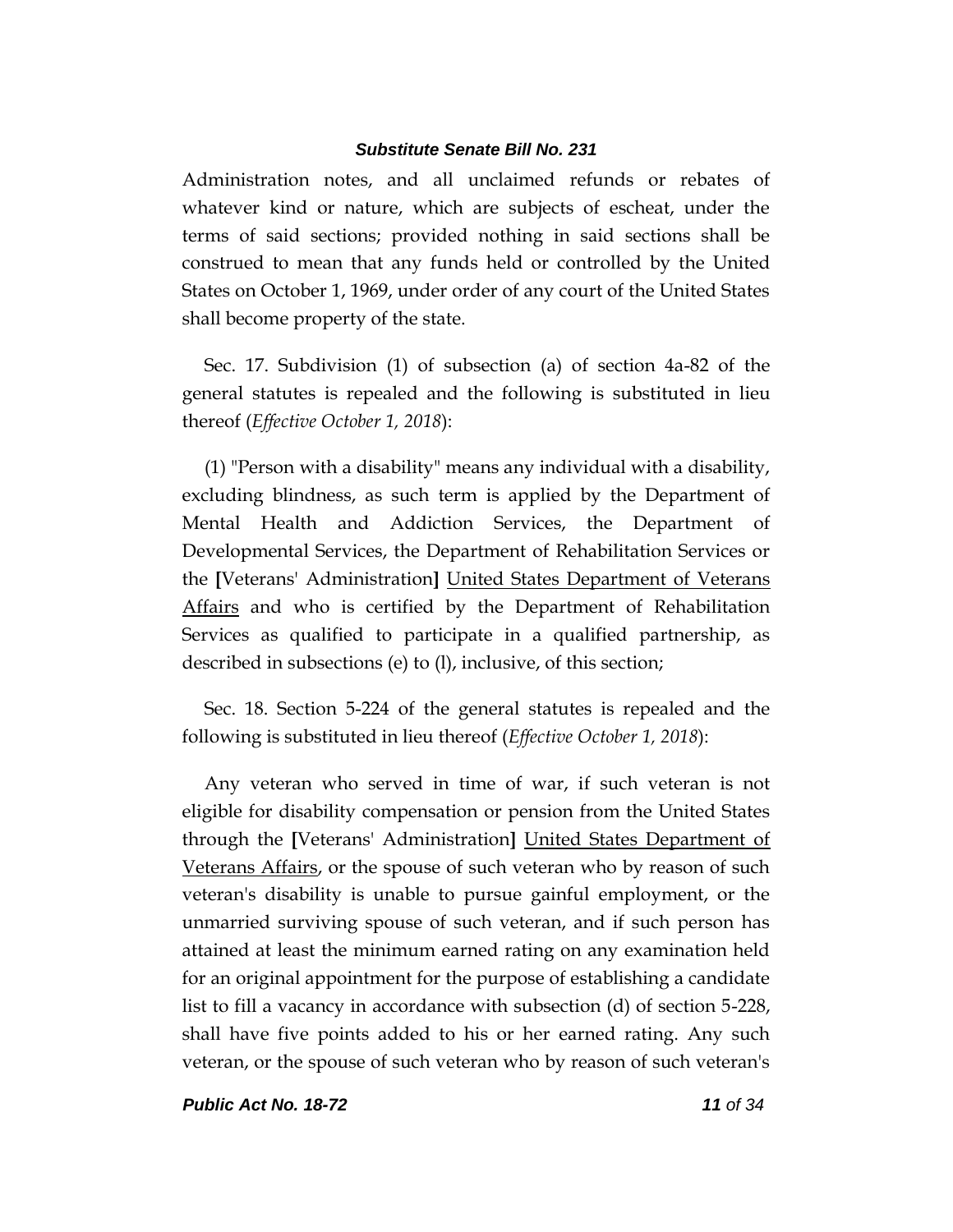Administration notes, and all unclaimed refunds or rebates of whatever kind or nature, which are subjects of escheat, under the terms of said sections; provided nothing in said sections shall be construed to mean that any funds held or controlled by the United States on October 1, 1969, under order of any court of the United States shall become property of the state.

Sec. 17. Subdivision (1) of subsection (a) of section 4a-82 of the general statutes is repealed and the following is substituted in lieu thereof (*Effective October 1, 2018*):

(1) "Person with a disability" means any individual with a disability, excluding blindness, as such term is applied by the Department of Mental Health and Addiction Services, the Department of Developmental Services, the Department of Rehabilitation Services or the **[**Veterans' Administration**]** United States Department of Veterans Affairs and who is certified by the Department of Rehabilitation Services as qualified to participate in a qualified partnership, as described in subsections (e) to (l), inclusive, of this section;

Sec. 18. Section 5-224 of the general statutes is repealed and the following is substituted in lieu thereof (*Effective October 1, 2018*):

Any veteran who served in time of war, if such veteran is not eligible for disability compensation or pension from the United States through the **[**Veterans' Administration**]** United States Department of Veterans Affairs, or the spouse of such veteran who by reason of such veteran's disability is unable to pursue gainful employment, or the unmarried surviving spouse of such veteran, and if such person has attained at least the minimum earned rating on any examination held for an original appointment for the purpose of establishing a candidate list to fill a vacancy in accordance with subsection (d) of section 5-228, shall have five points added to his or her earned rating. Any such veteran, or the spouse of such veteran who by reason of such veteran's

*Public Act No. 18-72 11 of 34*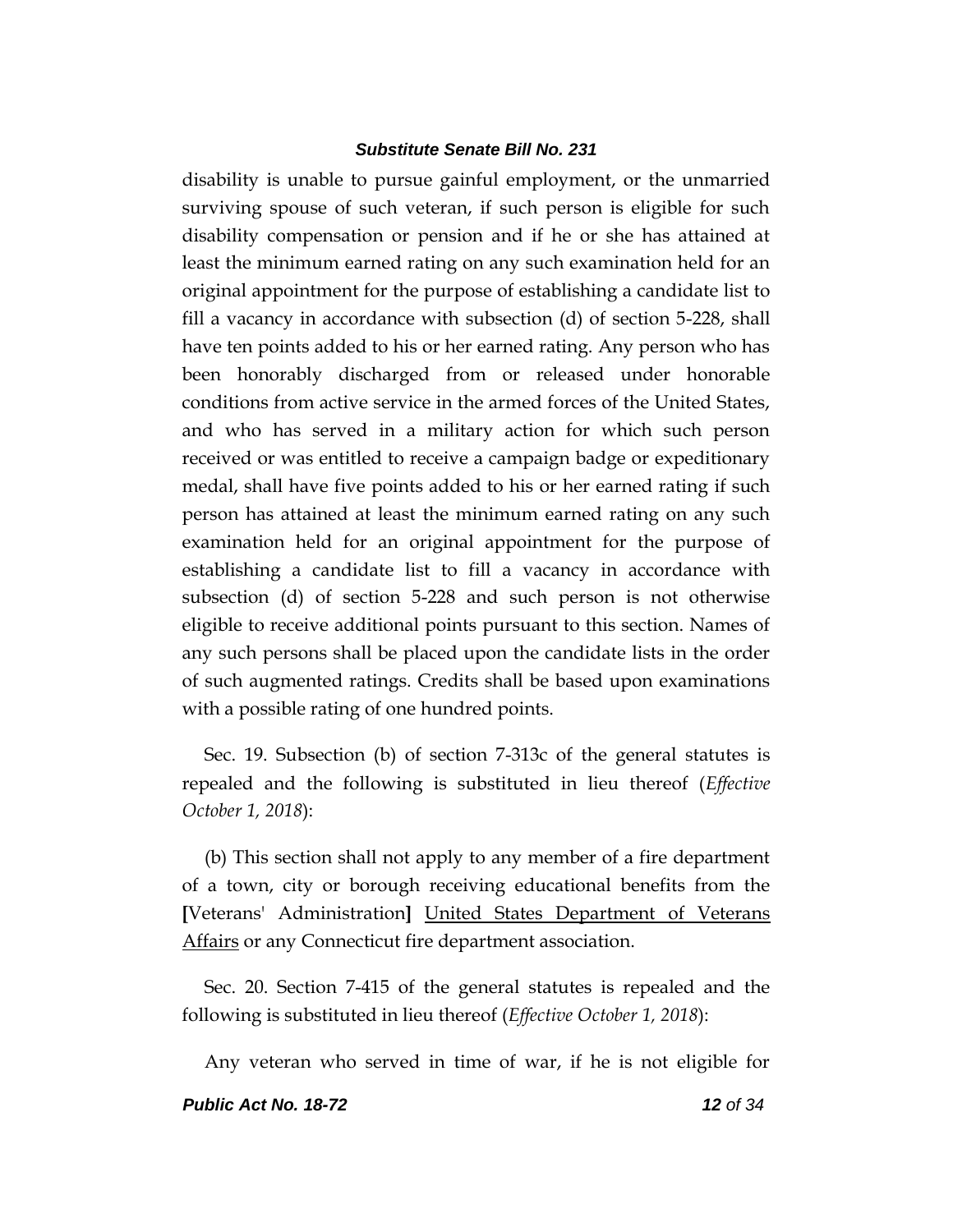disability is unable to pursue gainful employment, or the unmarried surviving spouse of such veteran, if such person is eligible for such disability compensation or pension and if he or she has attained at least the minimum earned rating on any such examination held for an original appointment for the purpose of establishing a candidate list to fill a vacancy in accordance with subsection (d) of section 5-228, shall have ten points added to his or her earned rating. Any person who has been honorably discharged from or released under honorable conditions from active service in the armed forces of the United States, and who has served in a military action for which such person received or was entitled to receive a campaign badge or expeditionary medal, shall have five points added to his or her earned rating if such person has attained at least the minimum earned rating on any such examination held for an original appointment for the purpose of establishing a candidate list to fill a vacancy in accordance with subsection (d) of section 5-228 and such person is not otherwise eligible to receive additional points pursuant to this section. Names of any such persons shall be placed upon the candidate lists in the order of such augmented ratings. Credits shall be based upon examinations with a possible rating of one hundred points.

Sec. 19. Subsection (b) of section 7-313c of the general statutes is repealed and the following is substituted in lieu thereof (*Effective October 1, 2018*):

(b) This section shall not apply to any member of a fire department of a town, city or borough receiving educational benefits from the **[**Veterans' Administration**]** United States Department of Veterans Affairs or any Connecticut fire department association.

Sec. 20. Section 7-415 of the general statutes is repealed and the following is substituted in lieu thereof (*Effective October 1, 2018*):

Any veteran who served in time of war, if he is not eligible for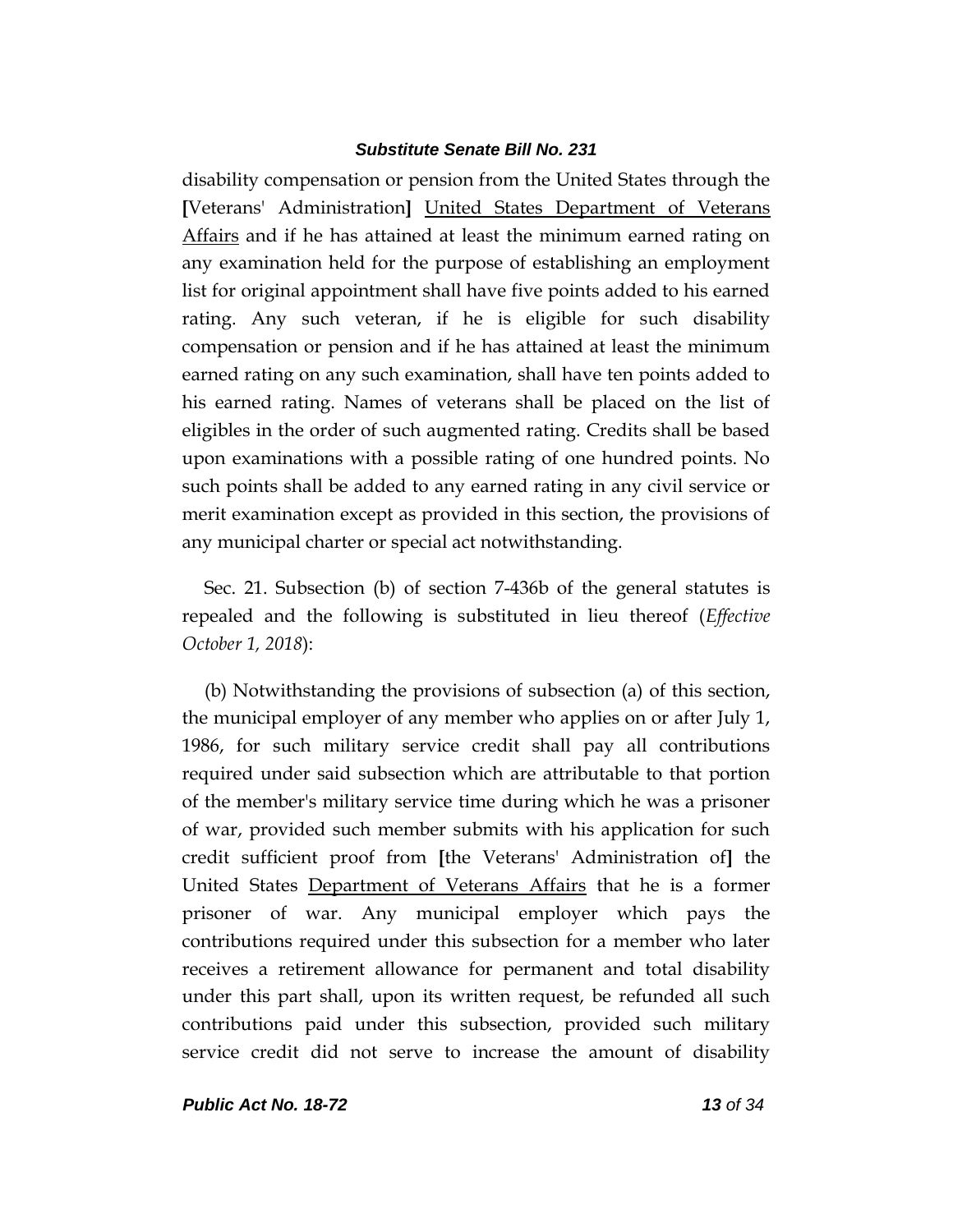disability compensation or pension from the United States through the **[**Veterans' Administration**]** United States Department of Veterans Affairs and if he has attained at least the minimum earned rating on any examination held for the purpose of establishing an employment list for original appointment shall have five points added to his earned rating. Any such veteran, if he is eligible for such disability compensation or pension and if he has attained at least the minimum earned rating on any such examination, shall have ten points added to his earned rating. Names of veterans shall be placed on the list of eligibles in the order of such augmented rating. Credits shall be based upon examinations with a possible rating of one hundred points. No such points shall be added to any earned rating in any civil service or merit examination except as provided in this section, the provisions of any municipal charter or special act notwithstanding.

Sec. 21. Subsection (b) of section 7-436b of the general statutes is repealed and the following is substituted in lieu thereof (*Effective October 1, 2018*):

(b) Notwithstanding the provisions of subsection (a) of this section, the municipal employer of any member who applies on or after July 1, 1986, for such military service credit shall pay all contributions required under said subsection which are attributable to that portion of the member's military service time during which he was a prisoner of war, provided such member submits with his application for such credit sufficient proof from **[**the Veterans' Administration of**]** the United States Department of Veterans Affairs that he is a former prisoner of war. Any municipal employer which pays the contributions required under this subsection for a member who later receives a retirement allowance for permanent and total disability under this part shall, upon its written request, be refunded all such contributions paid under this subsection, provided such military service credit did not serve to increase the amount of disability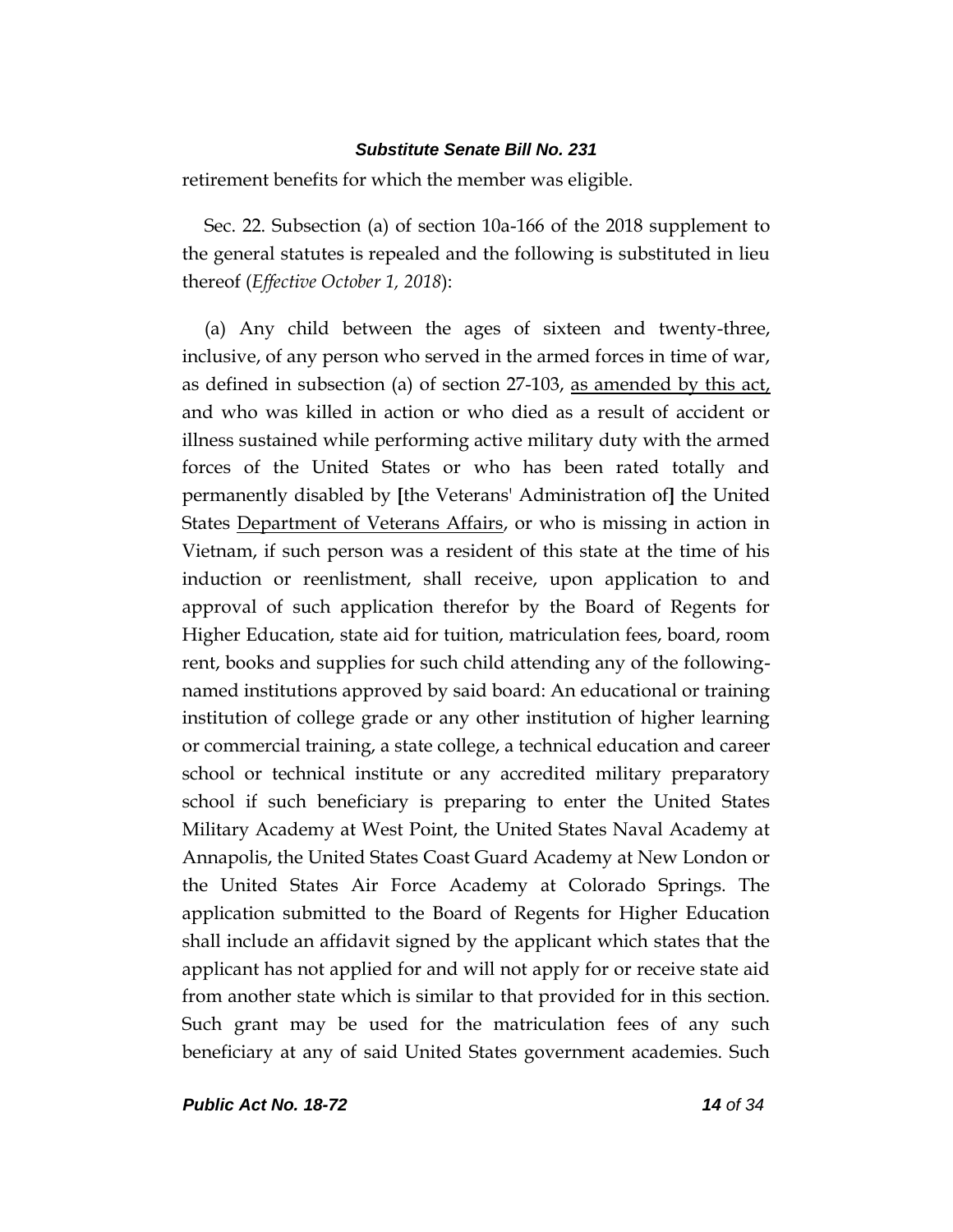retirement benefits for which the member was eligible.

Sec. 22. Subsection (a) of section 10a-166 of the 2018 supplement to the general statutes is repealed and the following is substituted in lieu thereof (*Effective October 1, 2018*):

(a) Any child between the ages of sixteen and twenty-three, inclusive, of any person who served in the armed forces in time of war, as defined in subsection (a) of section 27-103, as amended by this act, and who was killed in action or who died as a result of accident or illness sustained while performing active military duty with the armed forces of the United States or who has been rated totally and permanently disabled by **[**the Veterans' Administration of**]** the United States Department of Veterans Affairs, or who is missing in action in Vietnam, if such person was a resident of this state at the time of his induction or reenlistment, shall receive, upon application to and approval of such application therefor by the Board of Regents for Higher Education, state aid for tuition, matriculation fees, board, room rent, books and supplies for such child attending any of the followingnamed institutions approved by said board: An educational or training institution of college grade or any other institution of higher learning or commercial training, a state college, a technical education and career school or technical institute or any accredited military preparatory school if such beneficiary is preparing to enter the United States Military Academy at West Point, the United States Naval Academy at Annapolis, the United States Coast Guard Academy at New London or the United States Air Force Academy at Colorado Springs. The application submitted to the Board of Regents for Higher Education shall include an affidavit signed by the applicant which states that the applicant has not applied for and will not apply for or receive state aid from another state which is similar to that provided for in this section. Such grant may be used for the matriculation fees of any such beneficiary at any of said United States government academies. Such

*Public Act No. 18-72 14 of 34*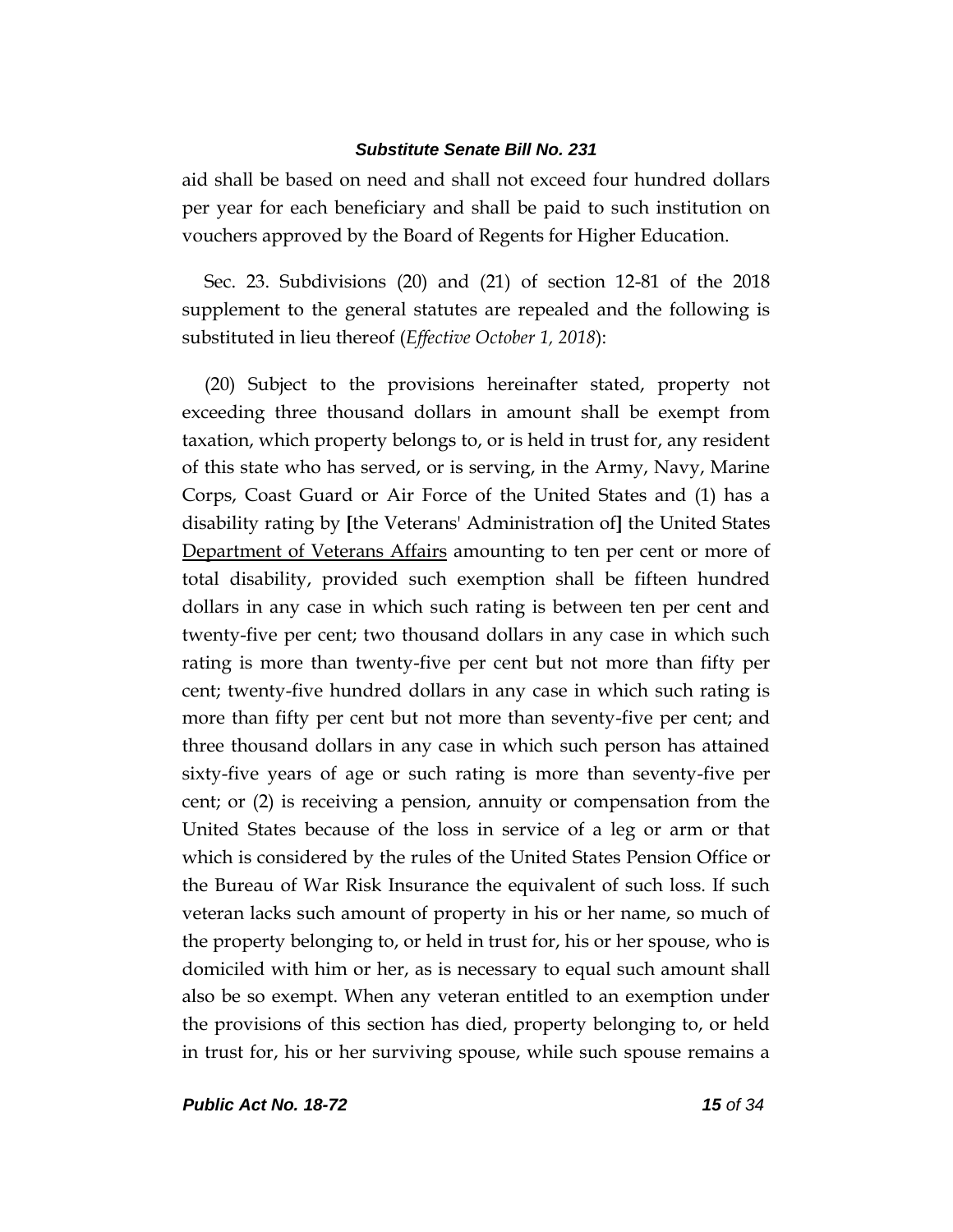aid shall be based on need and shall not exceed four hundred dollars per year for each beneficiary and shall be paid to such institution on vouchers approved by the Board of Regents for Higher Education.

Sec. 23. Subdivisions (20) and (21) of section 12-81 of the 2018 supplement to the general statutes are repealed and the following is substituted in lieu thereof (*Effective October 1, 2018*):

(20) Subject to the provisions hereinafter stated, property not exceeding three thousand dollars in amount shall be exempt from taxation, which property belongs to, or is held in trust for, any resident of this state who has served, or is serving, in the Army, Navy, Marine Corps, Coast Guard or Air Force of the United States and (1) has a disability rating by **[**the Veterans' Administration of**]** the United States Department of Veterans Affairs amounting to ten per cent or more of total disability, provided such exemption shall be fifteen hundred dollars in any case in which such rating is between ten per cent and twenty-five per cent; two thousand dollars in any case in which such rating is more than twenty-five per cent but not more than fifty per cent; twenty-five hundred dollars in any case in which such rating is more than fifty per cent but not more than seventy-five per cent; and three thousand dollars in any case in which such person has attained sixty-five years of age or such rating is more than seventy-five per cent; or (2) is receiving a pension, annuity or compensation from the United States because of the loss in service of a leg or arm or that which is considered by the rules of the United States Pension Office or the Bureau of War Risk Insurance the equivalent of such loss. If such veteran lacks such amount of property in his or her name, so much of the property belonging to, or held in trust for, his or her spouse, who is domiciled with him or her, as is necessary to equal such amount shall also be so exempt. When any veteran entitled to an exemption under the provisions of this section has died, property belonging to, or held in trust for, his or her surviving spouse, while such spouse remains a

*Public Act No. 18-72 15 of 34*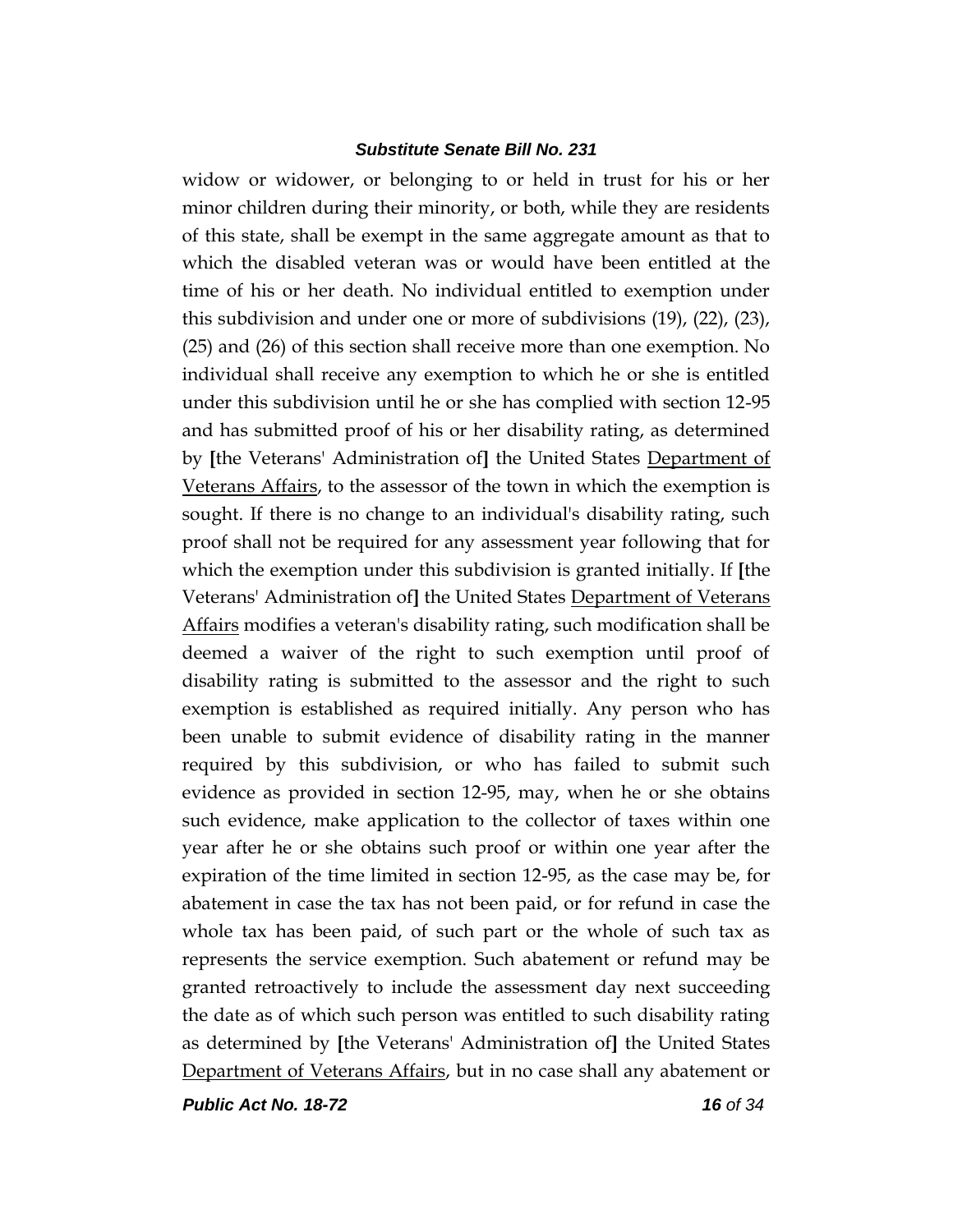widow or widower, or belonging to or held in trust for his or her minor children during their minority, or both, while they are residents of this state, shall be exempt in the same aggregate amount as that to which the disabled veteran was or would have been entitled at the time of his or her death. No individual entitled to exemption under this subdivision and under one or more of subdivisions (19), (22), (23), (25) and (26) of this section shall receive more than one exemption. No individual shall receive any exemption to which he or she is entitled under this subdivision until he or she has complied with section 12-95 and has submitted proof of his or her disability rating, as determined by **[**the Veterans' Administration of**]** the United States Department of Veterans Affairs, to the assessor of the town in which the exemption is sought. If there is no change to an individual's disability rating, such proof shall not be required for any assessment year following that for which the exemption under this subdivision is granted initially. If **[**the Veterans' Administration of**]** the United States Department of Veterans Affairs modifies a veteran's disability rating, such modification shall be deemed a waiver of the right to such exemption until proof of disability rating is submitted to the assessor and the right to such exemption is established as required initially. Any person who has been unable to submit evidence of disability rating in the manner required by this subdivision, or who has failed to submit such evidence as provided in section 12-95, may, when he or she obtains such evidence, make application to the collector of taxes within one year after he or she obtains such proof or within one year after the expiration of the time limited in section 12-95, as the case may be, for abatement in case the tax has not been paid, or for refund in case the whole tax has been paid, of such part or the whole of such tax as represents the service exemption. Such abatement or refund may be granted retroactively to include the assessment day next succeeding the date as of which such person was entitled to such disability rating as determined by **[**the Veterans' Administration of**]** the United States Department of Veterans Affairs, but in no case shall any abatement or

*Public Act No. 18-72 16 of 34*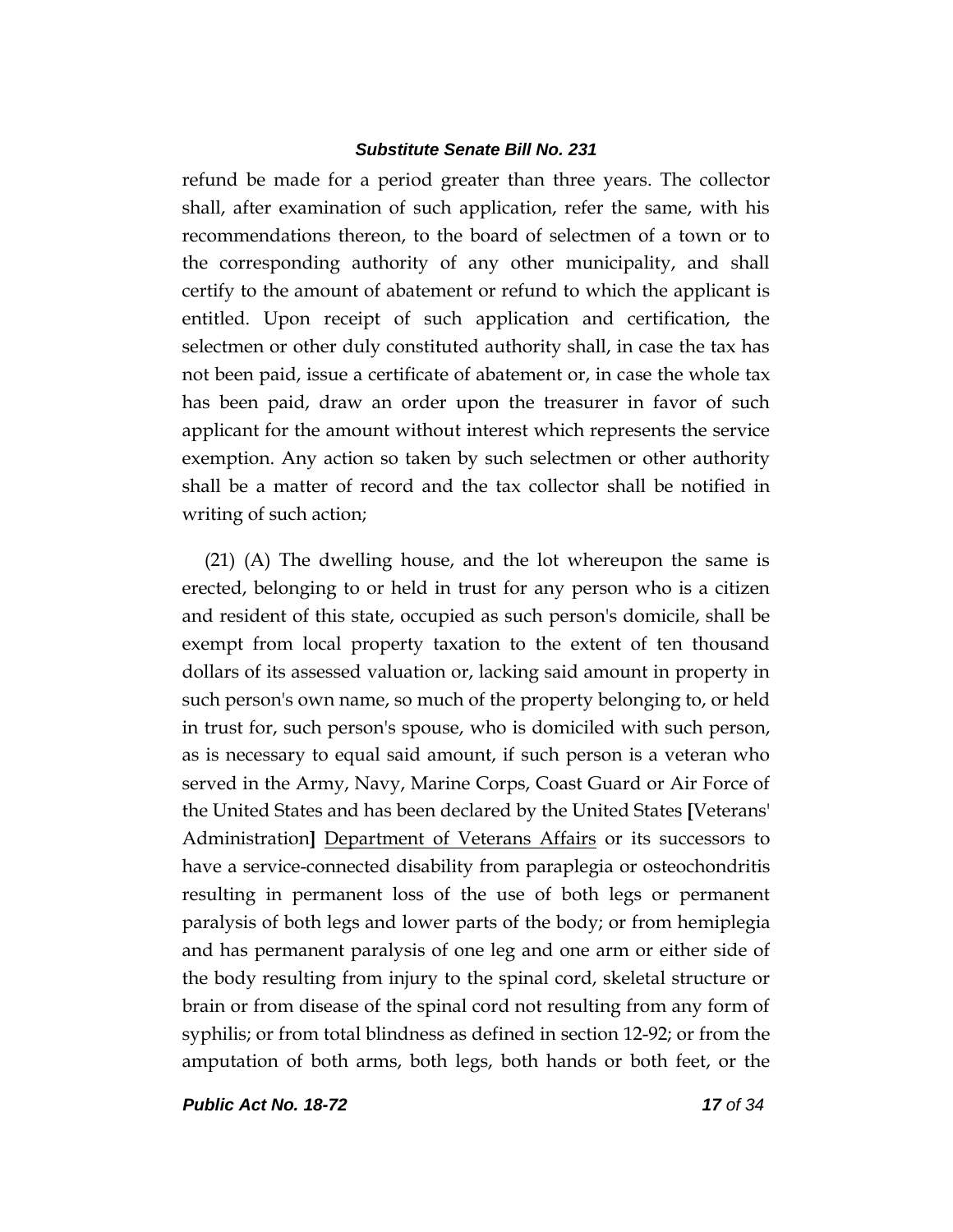refund be made for a period greater than three years. The collector shall, after examination of such application, refer the same, with his recommendations thereon, to the board of selectmen of a town or to the corresponding authority of any other municipality, and shall certify to the amount of abatement or refund to which the applicant is entitled. Upon receipt of such application and certification, the selectmen or other duly constituted authority shall, in case the tax has not been paid, issue a certificate of abatement or, in case the whole tax has been paid, draw an order upon the treasurer in favor of such applicant for the amount without interest which represents the service exemption. Any action so taken by such selectmen or other authority shall be a matter of record and the tax collector shall be notified in writing of such action;

(21) (A) The dwelling house, and the lot whereupon the same is erected, belonging to or held in trust for any person who is a citizen and resident of this state, occupied as such person's domicile, shall be exempt from local property taxation to the extent of ten thousand dollars of its assessed valuation or, lacking said amount in property in such person's own name, so much of the property belonging to, or held in trust for, such person's spouse, who is domiciled with such person, as is necessary to equal said amount, if such person is a veteran who served in the Army, Navy, Marine Corps, Coast Guard or Air Force of the United States and has been declared by the United States **[**Veterans' Administration**]** Department of Veterans Affairs or its successors to have a service-connected disability from paraplegia or osteochondritis resulting in permanent loss of the use of both legs or permanent paralysis of both legs and lower parts of the body; or from hemiplegia and has permanent paralysis of one leg and one arm or either side of the body resulting from injury to the spinal cord, skeletal structure or brain or from disease of the spinal cord not resulting from any form of syphilis; or from total blindness as defined in section 12-92; or from the amputation of both arms, both legs, both hands or both feet, or the

*Public Act No. 18-72 17 of 34*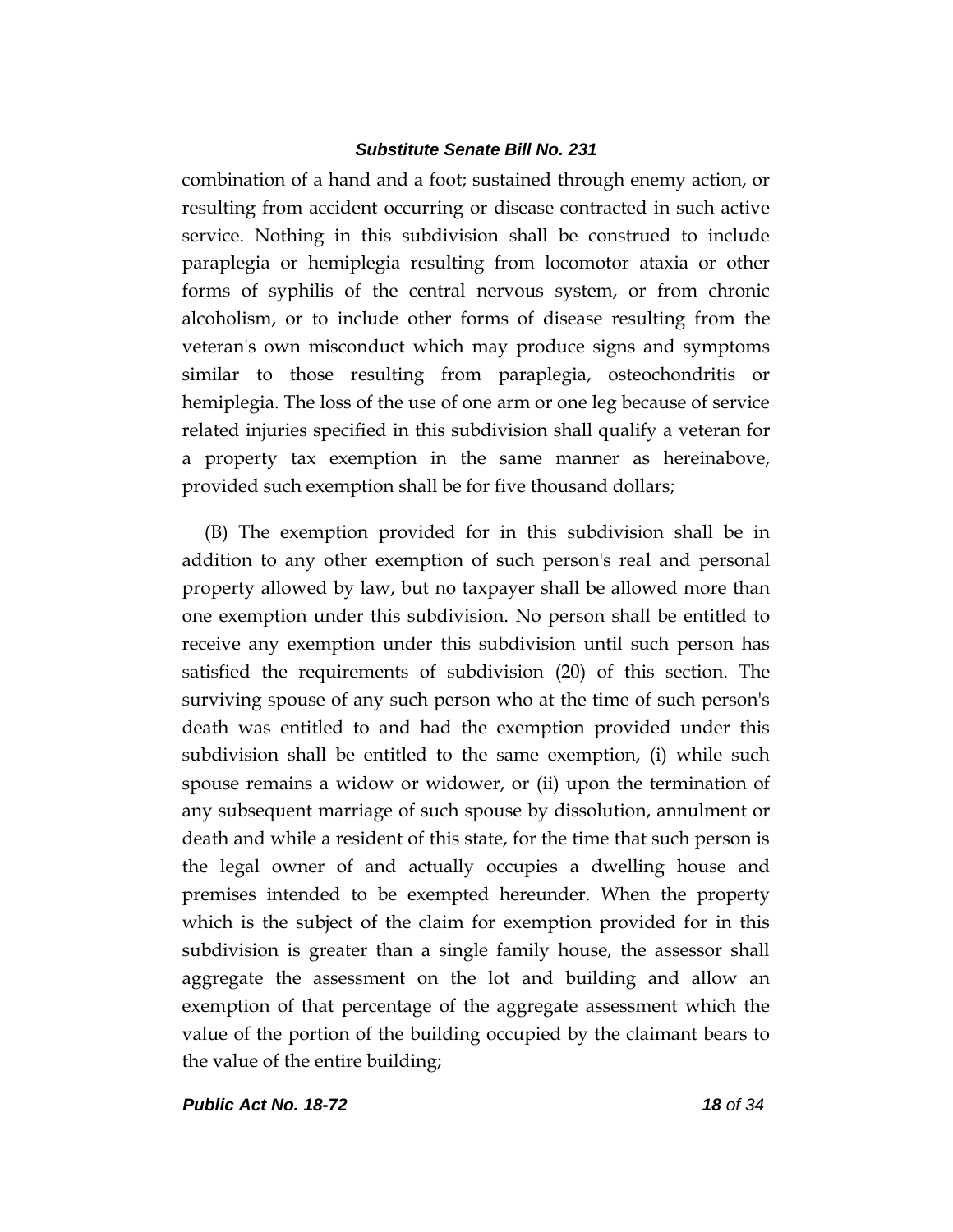combination of a hand and a foot; sustained through enemy action, or resulting from accident occurring or disease contracted in such active service. Nothing in this subdivision shall be construed to include paraplegia or hemiplegia resulting from locomotor ataxia or other forms of syphilis of the central nervous system, or from chronic alcoholism, or to include other forms of disease resulting from the veteran's own misconduct which may produce signs and symptoms similar to those resulting from paraplegia, osteochondritis or hemiplegia. The loss of the use of one arm or one leg because of service related injuries specified in this subdivision shall qualify a veteran for a property tax exemption in the same manner as hereinabove, provided such exemption shall be for five thousand dollars;

(B) The exemption provided for in this subdivision shall be in addition to any other exemption of such person's real and personal property allowed by law, but no taxpayer shall be allowed more than one exemption under this subdivision. No person shall be entitled to receive any exemption under this subdivision until such person has satisfied the requirements of subdivision (20) of this section. The surviving spouse of any such person who at the time of such person's death was entitled to and had the exemption provided under this subdivision shall be entitled to the same exemption, (i) while such spouse remains a widow or widower, or (ii) upon the termination of any subsequent marriage of such spouse by dissolution, annulment or death and while a resident of this state, for the time that such person is the legal owner of and actually occupies a dwelling house and premises intended to be exempted hereunder. When the property which is the subject of the claim for exemption provided for in this subdivision is greater than a single family house, the assessor shall aggregate the assessment on the lot and building and allow an exemption of that percentage of the aggregate assessment which the value of the portion of the building occupied by the claimant bears to the value of the entire building;

*Public Act No. 18-72 18 of 34*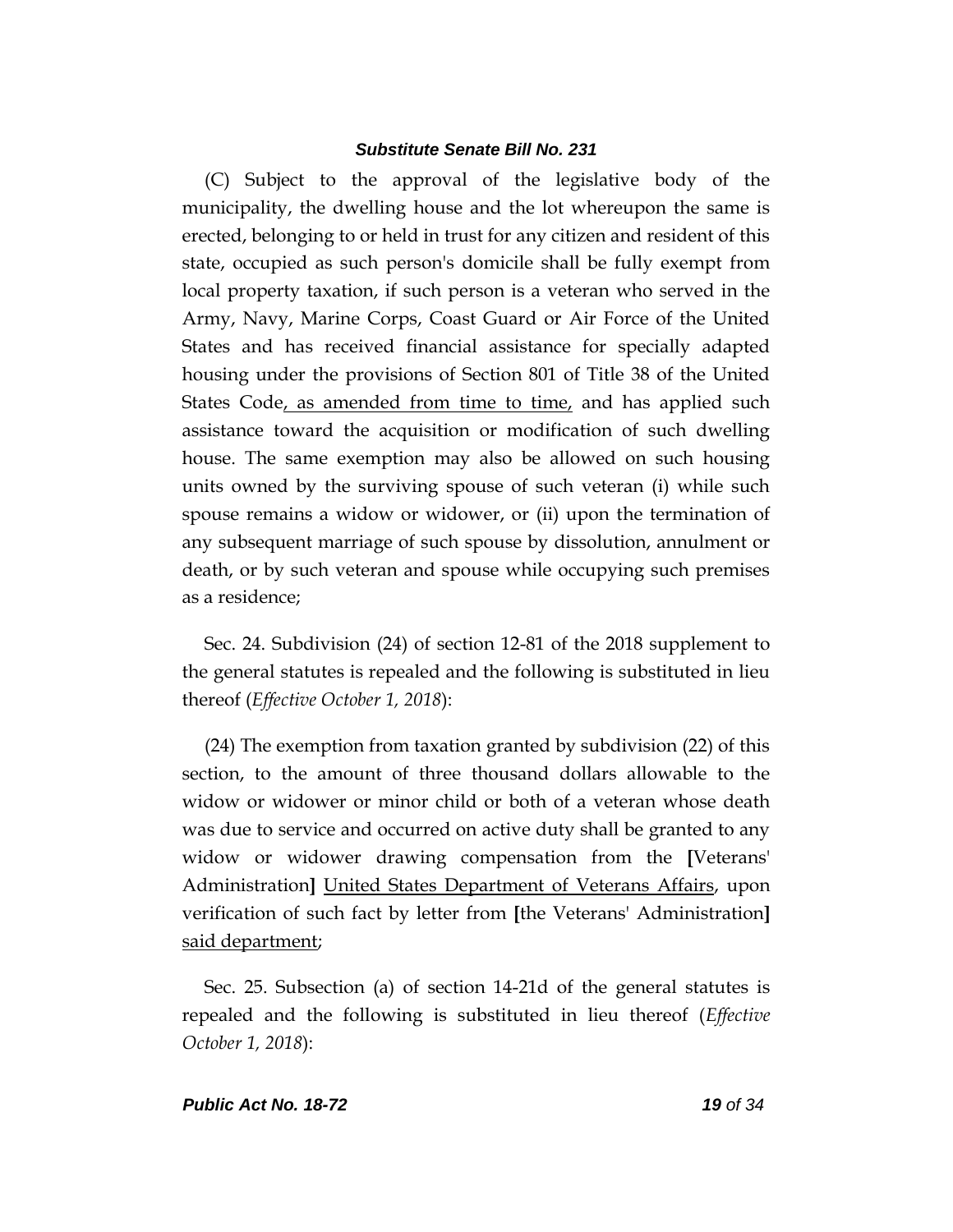(C) Subject to the approval of the legislative body of the municipality, the dwelling house and the lot whereupon the same is erected, belonging to or held in trust for any citizen and resident of this state, occupied as such person's domicile shall be fully exempt from local property taxation, if such person is a veteran who served in the Army, Navy, Marine Corps, Coast Guard or Air Force of the United States and has received financial assistance for specially adapted housing under the provisions of Section 801 of Title 38 of the United States Code, as amended from time to time, and has applied such assistance toward the acquisition or modification of such dwelling house. The same exemption may also be allowed on such housing units owned by the surviving spouse of such veteran (i) while such spouse remains a widow or widower, or (ii) upon the termination of any subsequent marriage of such spouse by dissolution, annulment or death, or by such veteran and spouse while occupying such premises as a residence;

Sec. 24. Subdivision (24) of section 12-81 of the 2018 supplement to the general statutes is repealed and the following is substituted in lieu thereof (*Effective October 1, 2018*):

(24) The exemption from taxation granted by subdivision (22) of this section, to the amount of three thousand dollars allowable to the widow or widower or minor child or both of a veteran whose death was due to service and occurred on active duty shall be granted to any widow or widower drawing compensation from the **[**Veterans' Administration**]** United States Department of Veterans Affairs, upon verification of such fact by letter from **[**the Veterans' Administration**]** said department;

Sec. 25. Subsection (a) of section 14-21d of the general statutes is repealed and the following is substituted in lieu thereof (*Effective October 1, 2018*):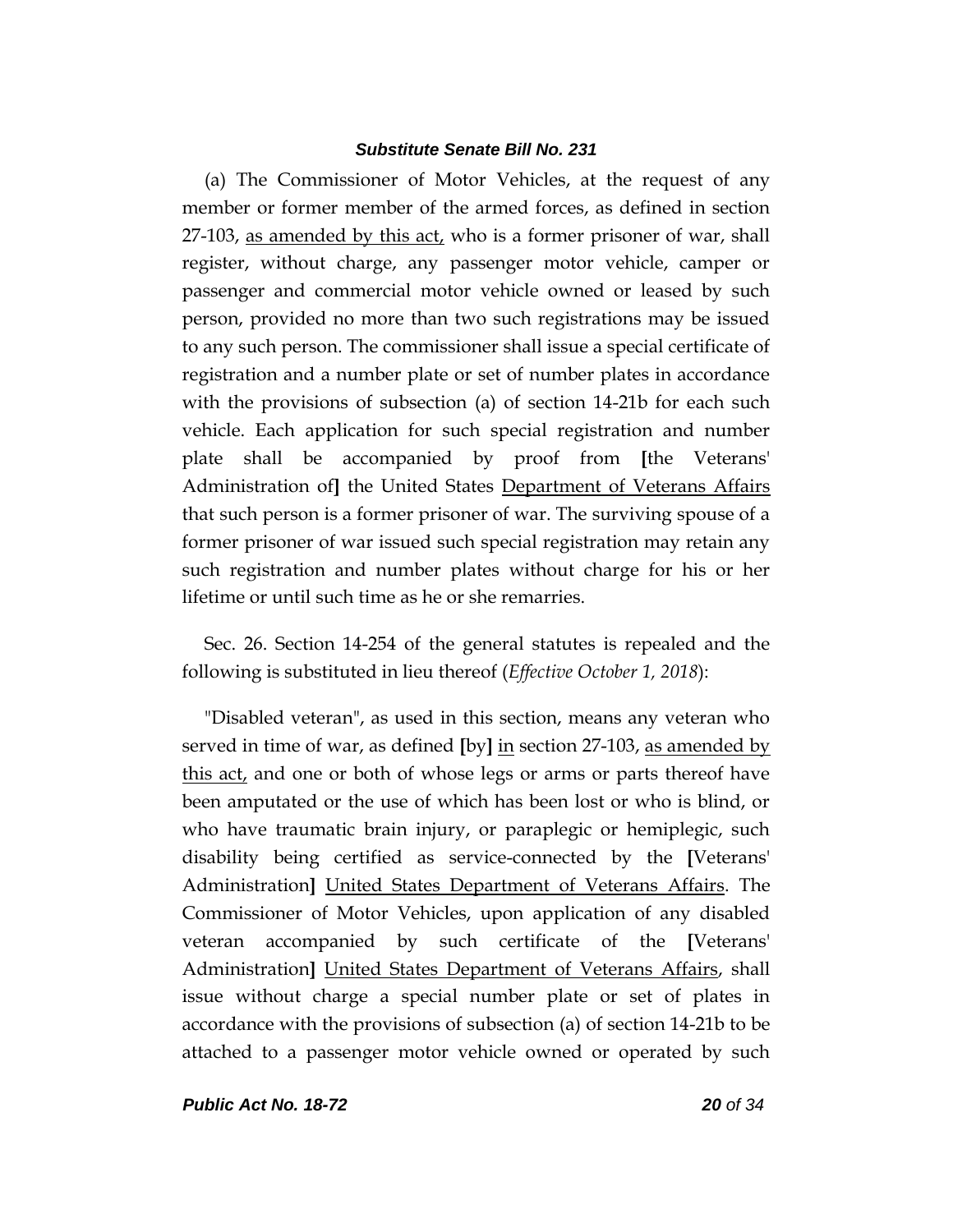(a) The Commissioner of Motor Vehicles, at the request of any member or former member of the armed forces, as defined in section 27-103, as amended by this act, who is a former prisoner of war, shall register, without charge, any passenger motor vehicle, camper or passenger and commercial motor vehicle owned or leased by such person, provided no more than two such registrations may be issued to any such person. The commissioner shall issue a special certificate of registration and a number plate or set of number plates in accordance with the provisions of subsection (a) of section 14-21b for each such vehicle. Each application for such special registration and number plate shall be accompanied by proof from **[**the Veterans' Administration of**]** the United States Department of Veterans Affairs that such person is a former prisoner of war. The surviving spouse of a former prisoner of war issued such special registration may retain any such registration and number plates without charge for his or her lifetime or until such time as he or she remarries.

Sec. 26. Section 14-254 of the general statutes is repealed and the following is substituted in lieu thereof (*Effective October 1, 2018*):

"Disabled veteran", as used in this section, means any veteran who served in time of war, as defined **[**by**]** in section 27-103, as amended by this act, and one or both of whose legs or arms or parts thereof have been amputated or the use of which has been lost or who is blind, or who have traumatic brain injury, or paraplegic or hemiplegic, such disability being certified as service-connected by the **[**Veterans' Administration**]** United States Department of Veterans Affairs. The Commissioner of Motor Vehicles, upon application of any disabled veteran accompanied by such certificate of the **[**Veterans' Administration**]** United States Department of Veterans Affairs, shall issue without charge a special number plate or set of plates in accordance with the provisions of subsection (a) of section 14-21b to be attached to a passenger motor vehicle owned or operated by such

*Public Act No. 18-72 20 of 34*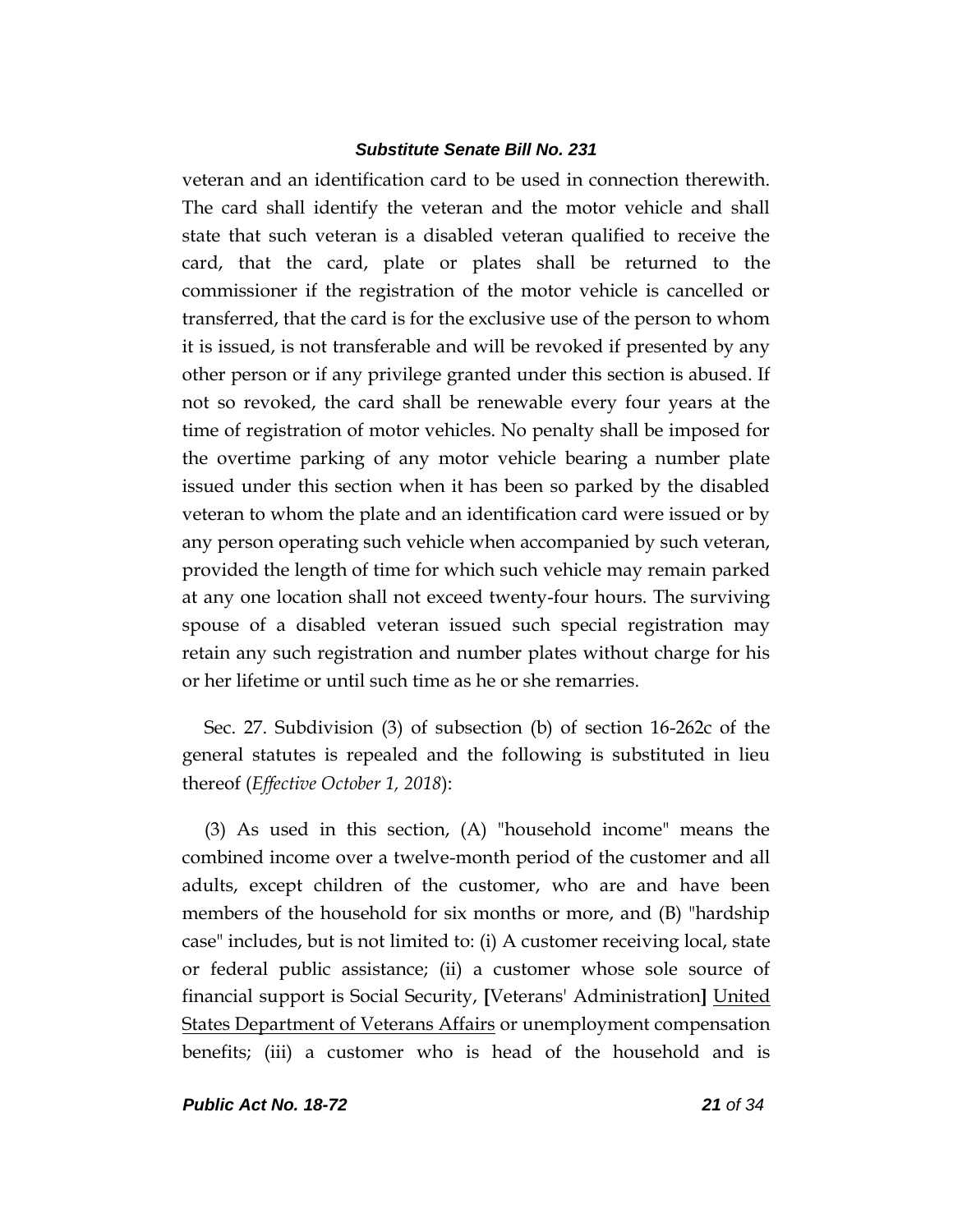veteran and an identification card to be used in connection therewith. The card shall identify the veteran and the motor vehicle and shall state that such veteran is a disabled veteran qualified to receive the card, that the card, plate or plates shall be returned to the commissioner if the registration of the motor vehicle is cancelled or transferred, that the card is for the exclusive use of the person to whom it is issued, is not transferable and will be revoked if presented by any other person or if any privilege granted under this section is abused. If not so revoked, the card shall be renewable every four years at the time of registration of motor vehicles. No penalty shall be imposed for the overtime parking of any motor vehicle bearing a number plate issued under this section when it has been so parked by the disabled veteran to whom the plate and an identification card were issued or by any person operating such vehicle when accompanied by such veteran, provided the length of time for which such vehicle may remain parked at any one location shall not exceed twenty-four hours. The surviving spouse of a disabled veteran issued such special registration may retain any such registration and number plates without charge for his or her lifetime or until such time as he or she remarries.

Sec. 27. Subdivision (3) of subsection (b) of section 16-262c of the general statutes is repealed and the following is substituted in lieu thereof (*Effective October 1, 2018*):

(3) As used in this section, (A) "household income" means the combined income over a twelve-month period of the customer and all adults, except children of the customer, who are and have been members of the household for six months or more, and (B) "hardship case" includes, but is not limited to: (i) A customer receiving local, state or federal public assistance; (ii) a customer whose sole source of financial support is Social Security, **[**Veterans' Administration**]** United States Department of Veterans Affairs or unemployment compensation benefits; (iii) a customer who is head of the household and is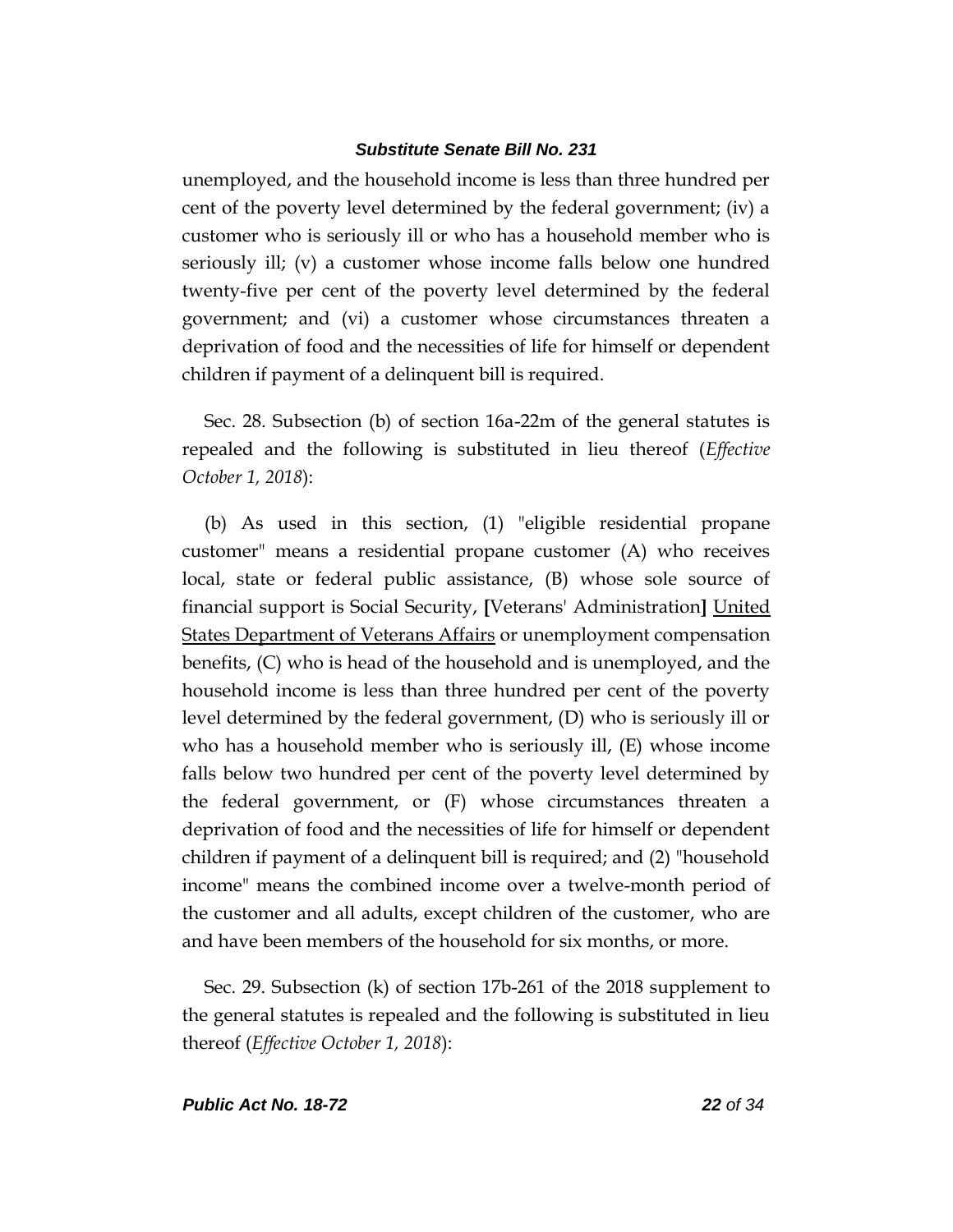unemployed, and the household income is less than three hundred per cent of the poverty level determined by the federal government; (iv) a customer who is seriously ill or who has a household member who is seriously ill; (v) a customer whose income falls below one hundred twenty-five per cent of the poverty level determined by the federal government; and (vi) a customer whose circumstances threaten a deprivation of food and the necessities of life for himself or dependent children if payment of a delinquent bill is required.

Sec. 28. Subsection (b) of section 16a-22m of the general statutes is repealed and the following is substituted in lieu thereof (*Effective October 1, 2018*):

(b) As used in this section, (1) "eligible residential propane customer" means a residential propane customer (A) who receives local, state or federal public assistance, (B) whose sole source of financial support is Social Security, **[**Veterans' Administration**]** United States Department of Veterans Affairs or unemployment compensation benefits, (C) who is head of the household and is unemployed, and the household income is less than three hundred per cent of the poverty level determined by the federal government, (D) who is seriously ill or who has a household member who is seriously ill, (E) whose income falls below two hundred per cent of the poverty level determined by the federal government, or (F) whose circumstances threaten a deprivation of food and the necessities of life for himself or dependent children if payment of a delinquent bill is required; and (2) "household income" means the combined income over a twelve-month period of the customer and all adults, except children of the customer, who are and have been members of the household for six months, or more.

Sec. 29. Subsection (k) of section 17b-261 of the 2018 supplement to the general statutes is repealed and the following is substituted in lieu thereof (*Effective October 1, 2018*):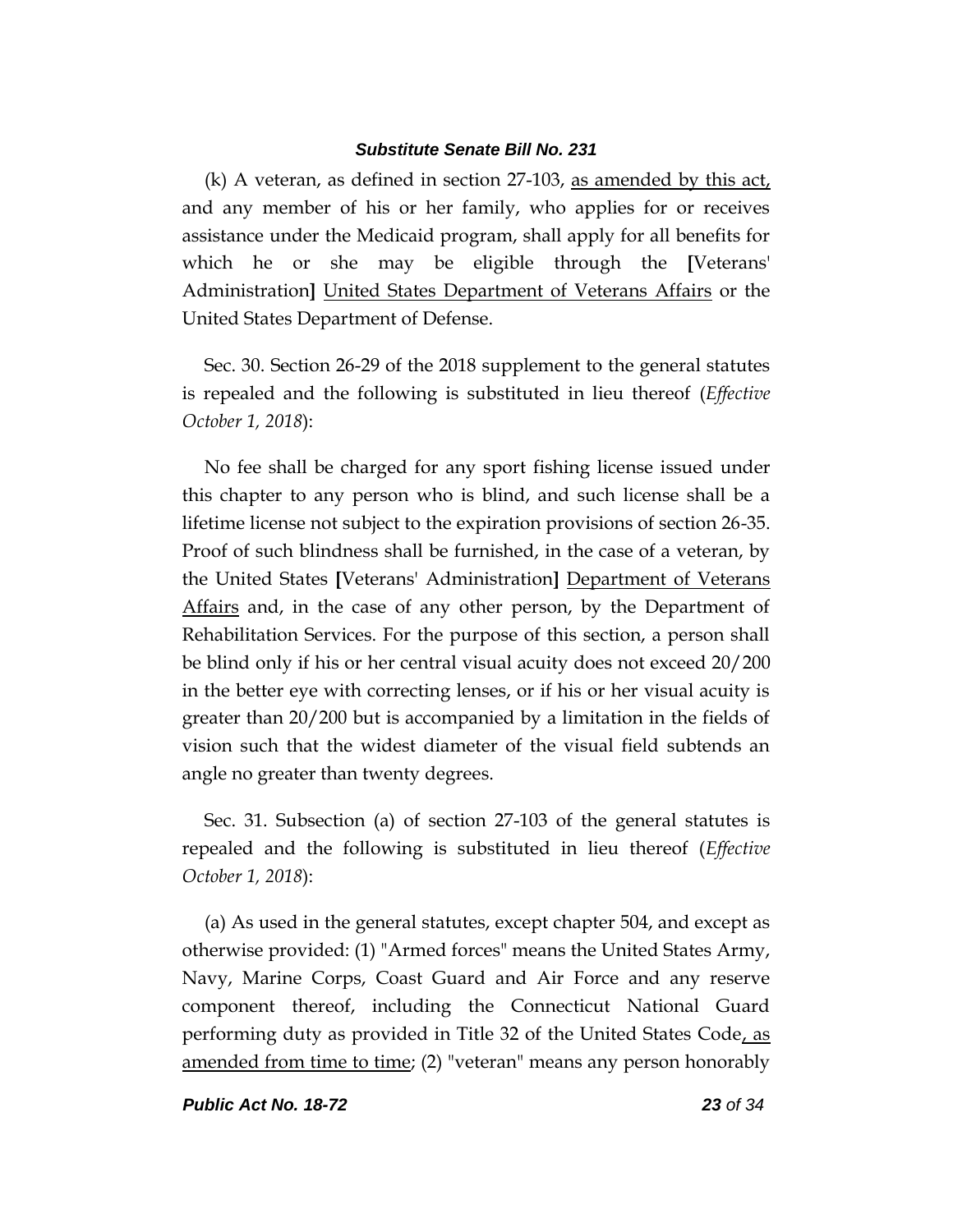(k) A veteran, as defined in section 27-103, as amended by this act, and any member of his or her family, who applies for or receives assistance under the Medicaid program, shall apply for all benefits for which he or she may be eligible through the **[**Veterans' Administration**]** United States Department of Veterans Affairs or the United States Department of Defense.

Sec. 30. Section 26-29 of the 2018 supplement to the general statutes is repealed and the following is substituted in lieu thereof (*Effective October 1, 2018*):

No fee shall be charged for any sport fishing license issued under this chapter to any person who is blind, and such license shall be a lifetime license not subject to the expiration provisions of section 26-35. Proof of such blindness shall be furnished, in the case of a veteran, by the United States **[**Veterans' Administration**]** Department of Veterans Affairs and, in the case of any other person, by the Department of Rehabilitation Services. For the purpose of this section, a person shall be blind only if his or her central visual acuity does not exceed 20/200 in the better eye with correcting lenses, or if his or her visual acuity is greater than 20/200 but is accompanied by a limitation in the fields of vision such that the widest diameter of the visual field subtends an angle no greater than twenty degrees.

Sec. 31. Subsection (a) of section 27-103 of the general statutes is repealed and the following is substituted in lieu thereof (*Effective October 1, 2018*):

(a) As used in the general statutes, except chapter 504, and except as otherwise provided: (1) "Armed forces" means the United States Army, Navy, Marine Corps, Coast Guard and Air Force and any reserve component thereof, including the Connecticut National Guard performing duty as provided in Title 32 of the United States Code, as amended from time to time; (2) "veteran" means any person honorably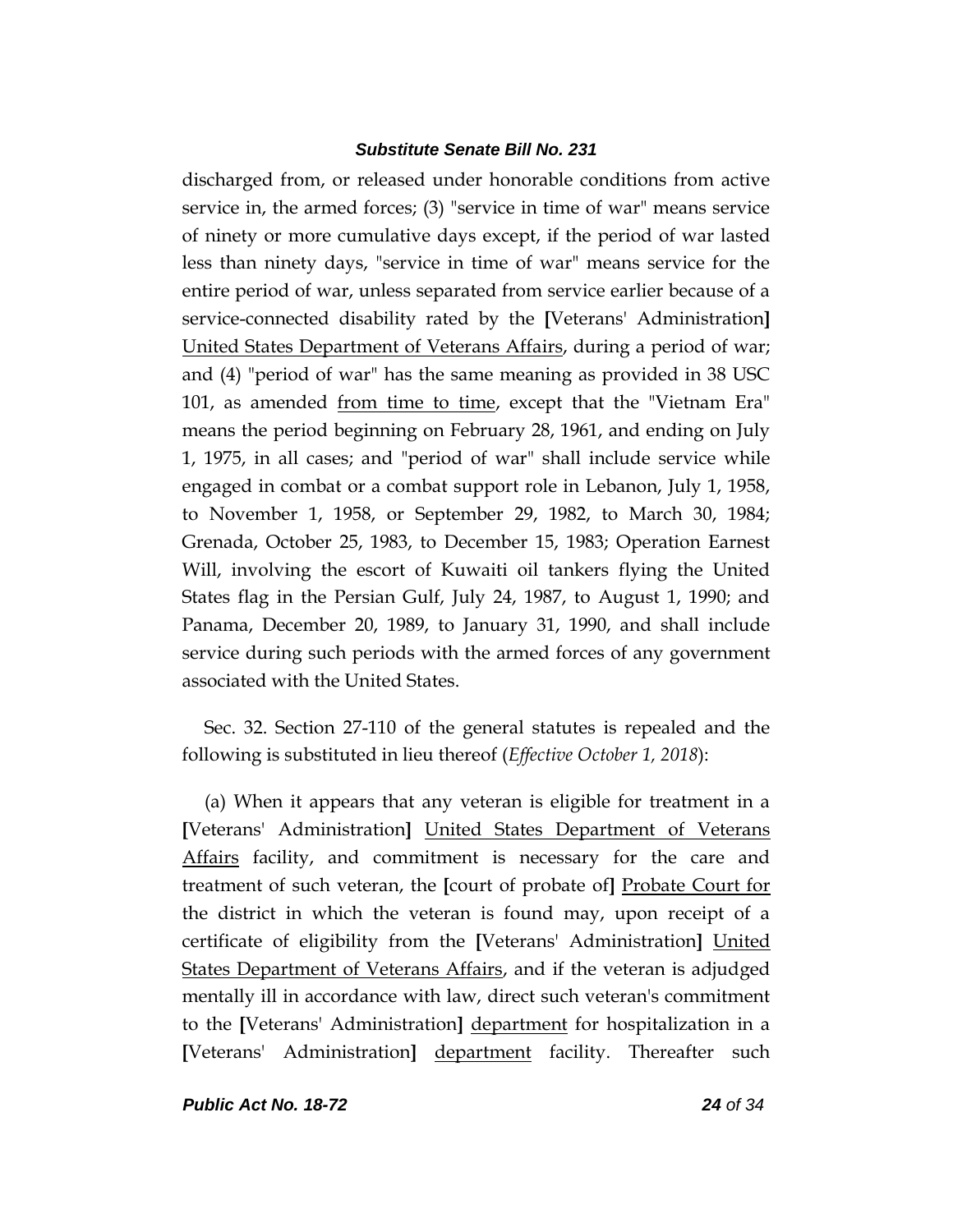discharged from, or released under honorable conditions from active service in, the armed forces; (3) "service in time of war" means service of ninety or more cumulative days except, if the period of war lasted less than ninety days, "service in time of war" means service for the entire period of war, unless separated from service earlier because of a service-connected disability rated by the **[**Veterans' Administration**]** United States Department of Veterans Affairs, during a period of war; and (4) "period of war" has the same meaning as provided in 38 USC 101, as amended from time to time, except that the "Vietnam Era" means the period beginning on February 28, 1961, and ending on July 1, 1975, in all cases; and "period of war" shall include service while engaged in combat or a combat support role in Lebanon, July 1, 1958, to November 1, 1958, or September 29, 1982, to March 30, 1984; Grenada, October 25, 1983, to December 15, 1983; Operation Earnest Will, involving the escort of Kuwaiti oil tankers flying the United States flag in the Persian Gulf, July 24, 1987, to August 1, 1990; and Panama, December 20, 1989, to January 31, 1990, and shall include service during such periods with the armed forces of any government associated with the United States.

Sec. 32. Section 27-110 of the general statutes is repealed and the following is substituted in lieu thereof (*Effective October 1, 2018*):

(a) When it appears that any veteran is eligible for treatment in a **[**Veterans' Administration**]** United States Department of Veterans Affairs facility, and commitment is necessary for the care and treatment of such veteran, the **[**court of probate of**]** Probate Court for the district in which the veteran is found may, upon receipt of a certificate of eligibility from the **[**Veterans' Administration**]** United States Department of Veterans Affairs, and if the veteran is adjudged mentally ill in accordance with law, direct such veteran's commitment to the **[**Veterans' Administration**]** department for hospitalization in a **[**Veterans' Administration**]** department facility. Thereafter such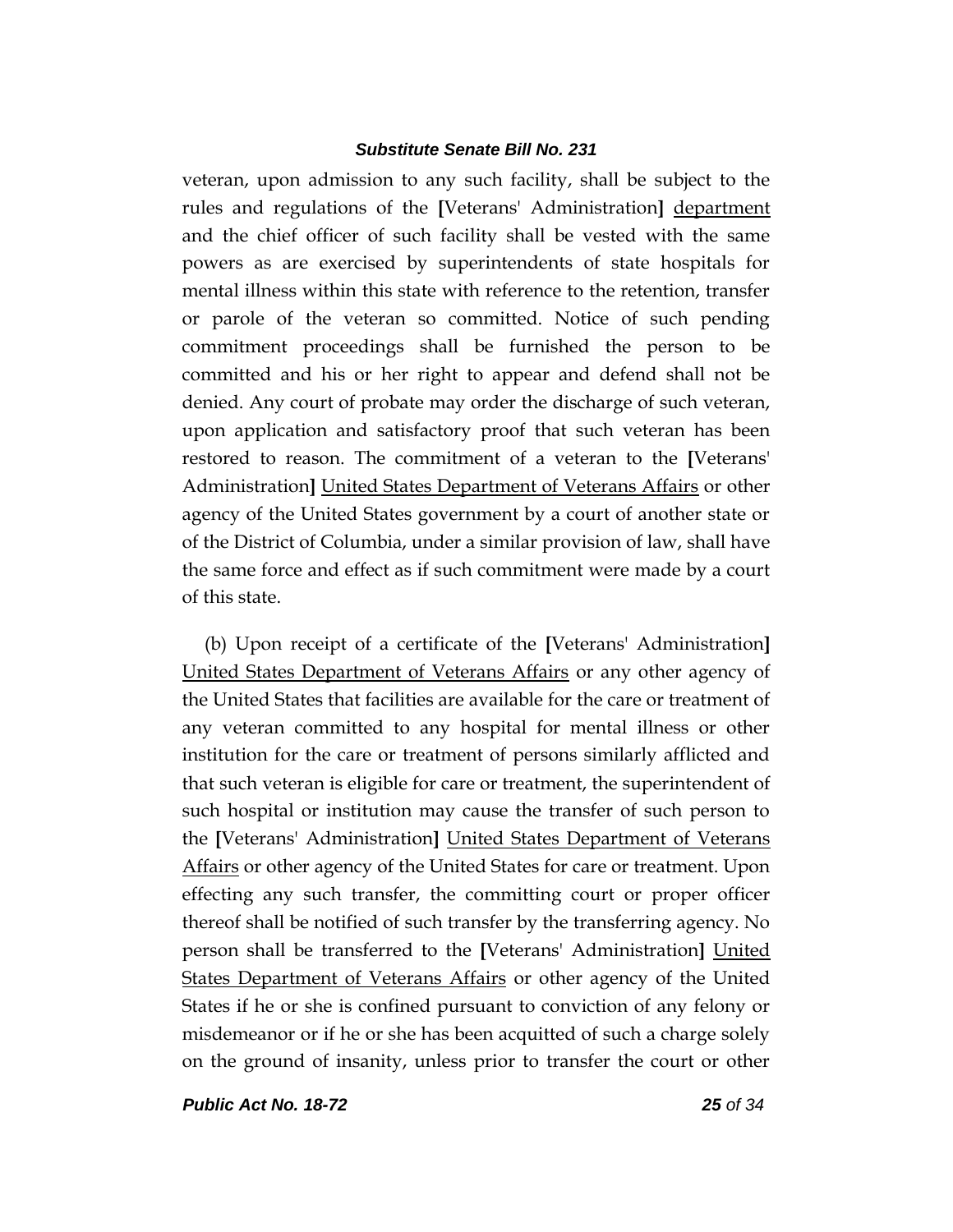veteran, upon admission to any such facility, shall be subject to the rules and regulations of the **[**Veterans' Administration**]** department and the chief officer of such facility shall be vested with the same powers as are exercised by superintendents of state hospitals for mental illness within this state with reference to the retention, transfer or parole of the veteran so committed. Notice of such pending commitment proceedings shall be furnished the person to be committed and his or her right to appear and defend shall not be denied. Any court of probate may order the discharge of such veteran, upon application and satisfactory proof that such veteran has been restored to reason. The commitment of a veteran to the **[**Veterans' Administration**]** United States Department of Veterans Affairs or other agency of the United States government by a court of another state or of the District of Columbia, under a similar provision of law, shall have the same force and effect as if such commitment were made by a court of this state.

(b) Upon receipt of a certificate of the **[**Veterans' Administration**]** United States Department of Veterans Affairs or any other agency of the United States that facilities are available for the care or treatment of any veteran committed to any hospital for mental illness or other institution for the care or treatment of persons similarly afflicted and that such veteran is eligible for care or treatment, the superintendent of such hospital or institution may cause the transfer of such person to the **[**Veterans' Administration**]** United States Department of Veterans Affairs or other agency of the United States for care or treatment. Upon effecting any such transfer, the committing court or proper officer thereof shall be notified of such transfer by the transferring agency. No person shall be transferred to the **[**Veterans' Administration**]** United States Department of Veterans Affairs or other agency of the United States if he or she is confined pursuant to conviction of any felony or misdemeanor or if he or she has been acquitted of such a charge solely on the ground of insanity, unless prior to transfer the court or other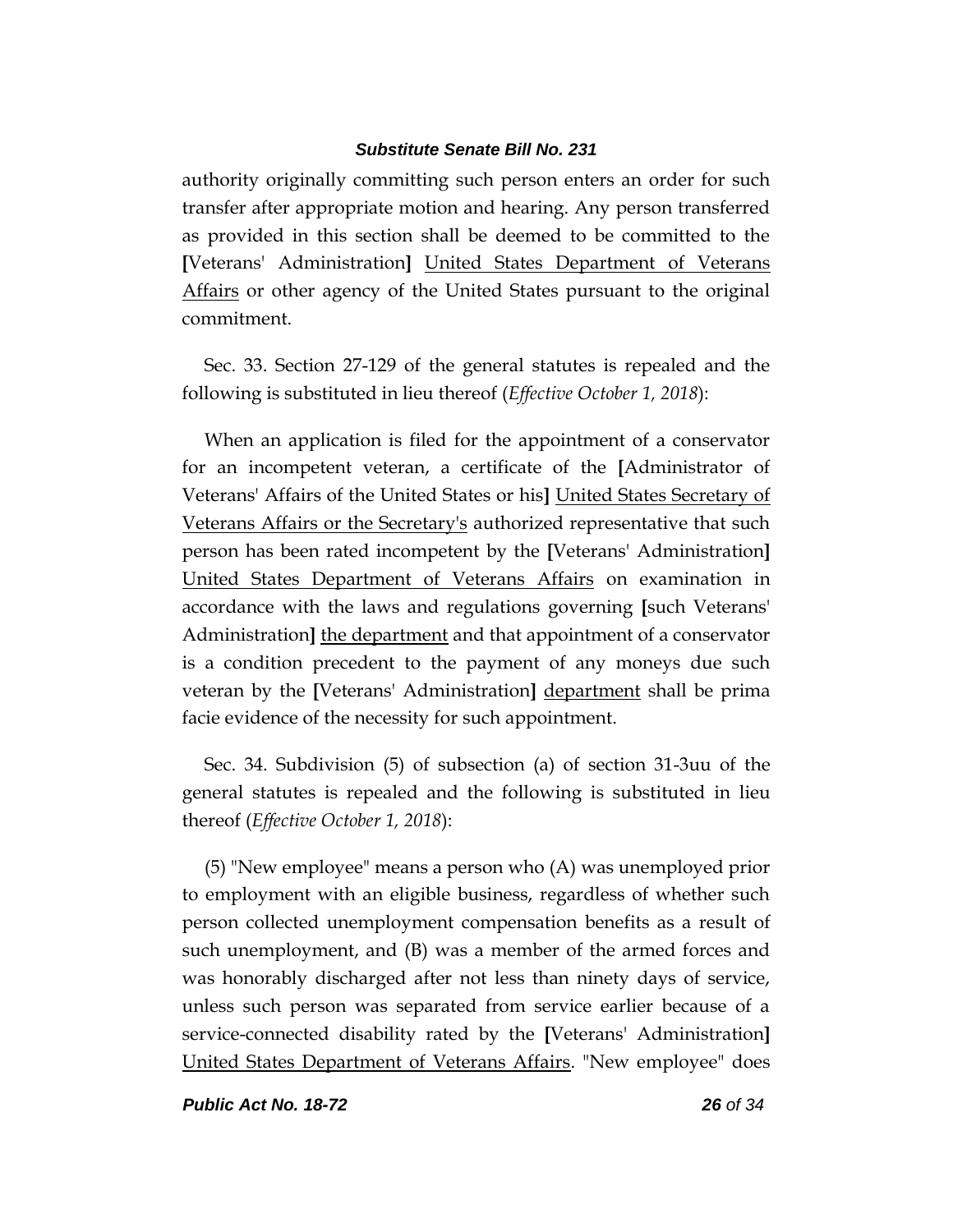authority originally committing such person enters an order for such transfer after appropriate motion and hearing. Any person transferred as provided in this section shall be deemed to be committed to the **[**Veterans' Administration**]** United States Department of Veterans Affairs or other agency of the United States pursuant to the original commitment.

Sec. 33. Section 27-129 of the general statutes is repealed and the following is substituted in lieu thereof (*Effective October 1, 2018*):

When an application is filed for the appointment of a conservator for an incompetent veteran, a certificate of the **[**Administrator of Veterans' Affairs of the United States or his**]** United States Secretary of Veterans Affairs or the Secretary's authorized representative that such person has been rated incompetent by the **[**Veterans' Administration**]** United States Department of Veterans Affairs on examination in accordance with the laws and regulations governing **[**such Veterans' Administration**]** the department and that appointment of a conservator is a condition precedent to the payment of any moneys due such veteran by the **[**Veterans' Administration**]** department shall be prima facie evidence of the necessity for such appointment.

Sec. 34. Subdivision (5) of subsection (a) of section 31-3uu of the general statutes is repealed and the following is substituted in lieu thereof (*Effective October 1, 2018*):

(5) "New employee" means a person who (A) was unemployed prior to employment with an eligible business, regardless of whether such person collected unemployment compensation benefits as a result of such unemployment, and (B) was a member of the armed forces and was honorably discharged after not less than ninety days of service, unless such person was separated from service earlier because of a service-connected disability rated by the **[**Veterans' Administration**]** United States Department of Veterans Affairs. "New employee" does

*Public Act No. 18-72 26 of 34*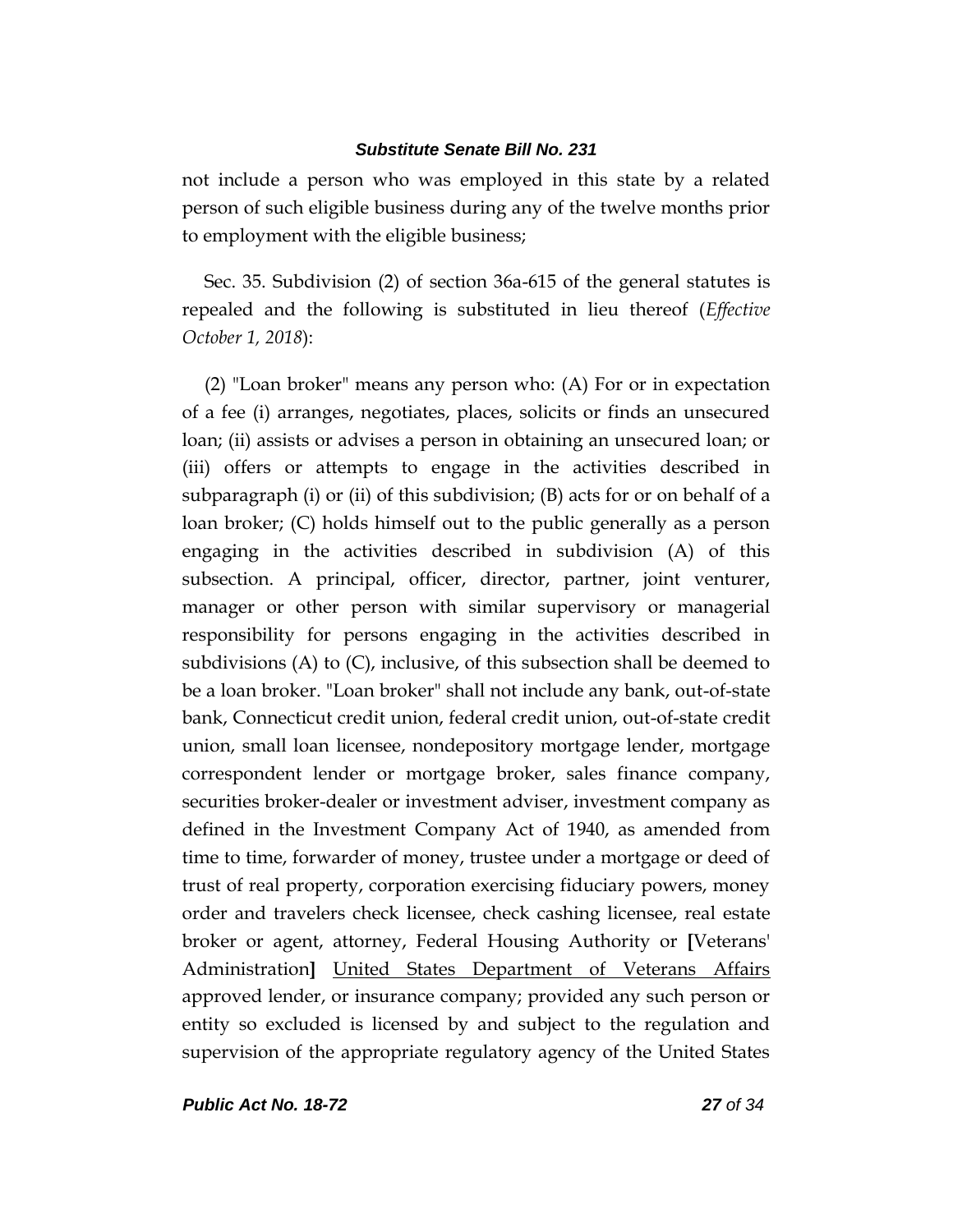not include a person who was employed in this state by a related person of such eligible business during any of the twelve months prior to employment with the eligible business;

Sec. 35. Subdivision (2) of section 36a-615 of the general statutes is repealed and the following is substituted in lieu thereof (*Effective October 1, 2018*):

(2) "Loan broker" means any person who: (A) For or in expectation of a fee (i) arranges, negotiates, places, solicits or finds an unsecured loan; (ii) assists or advises a person in obtaining an unsecured loan; or (iii) offers or attempts to engage in the activities described in subparagraph (i) or (ii) of this subdivision; (B) acts for or on behalf of a loan broker; (C) holds himself out to the public generally as a person engaging in the activities described in subdivision (A) of this subsection. A principal, officer, director, partner, joint venturer, manager or other person with similar supervisory or managerial responsibility for persons engaging in the activities described in subdivisions (A) to (C), inclusive, of this subsection shall be deemed to be a loan broker. "Loan broker" shall not include any bank, out-of-state bank, Connecticut credit union, federal credit union, out-of-state credit union, small loan licensee, nondepository mortgage lender, mortgage correspondent lender or mortgage broker, sales finance company, securities broker-dealer or investment adviser, investment company as defined in the Investment Company Act of 1940, as amended from time to time, forwarder of money, trustee under a mortgage or deed of trust of real property, corporation exercising fiduciary powers, money order and travelers check licensee, check cashing licensee, real estate broker or agent, attorney, Federal Housing Authority or **[**Veterans' Administration**]** United States Department of Veterans Affairs approved lender, or insurance company; provided any such person or entity so excluded is licensed by and subject to the regulation and supervision of the appropriate regulatory agency of the United States

*Public Act No. 18-72 27 of 34*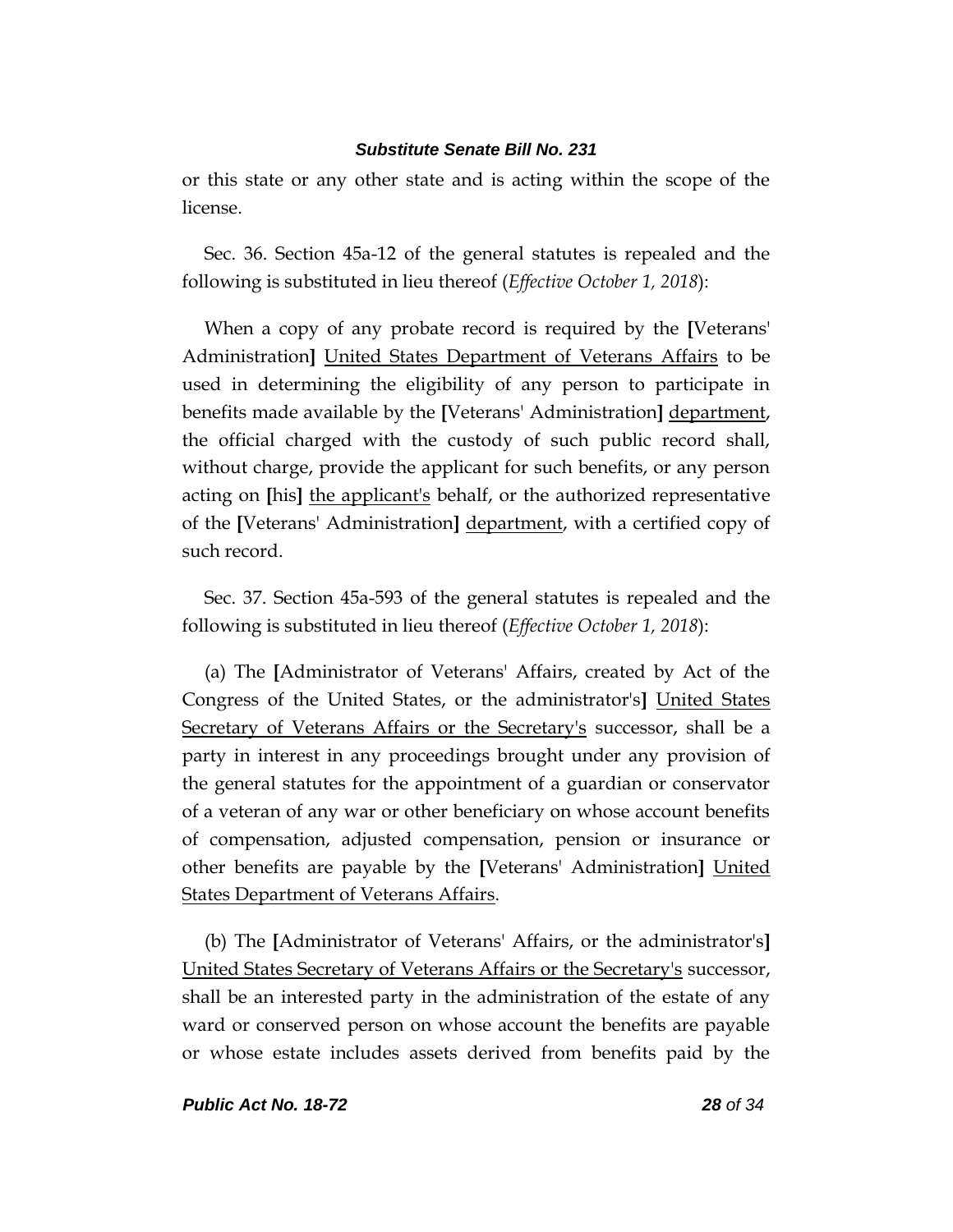or this state or any other state and is acting within the scope of the license.

Sec. 36. Section 45a-12 of the general statutes is repealed and the following is substituted in lieu thereof (*Effective October 1, 2018*):

When a copy of any probate record is required by the **[**Veterans' Administration**]** United States Department of Veterans Affairs to be used in determining the eligibility of any person to participate in benefits made available by the **[**Veterans' Administration**]** department, the official charged with the custody of such public record shall, without charge, provide the applicant for such benefits, or any person acting on **[**his**]** the applicant's behalf, or the authorized representative of the **[**Veterans' Administration**]** department, with a certified copy of such record.

Sec. 37. Section 45a-593 of the general statutes is repealed and the following is substituted in lieu thereof (*Effective October 1, 2018*):

(a) The **[**Administrator of Veterans' Affairs, created by Act of the Congress of the United States, or the administrator's**]** United States Secretary of Veterans Affairs or the Secretary's successor, shall be a party in interest in any proceedings brought under any provision of the general statutes for the appointment of a guardian or conservator of a veteran of any war or other beneficiary on whose account benefits of compensation, adjusted compensation, pension or insurance or other benefits are payable by the **[**Veterans' Administration**]** United States Department of Veterans Affairs.

(b) The **[**Administrator of Veterans' Affairs, or the administrator's**]** United States Secretary of Veterans Affairs or the Secretary's successor, shall be an interested party in the administration of the estate of any ward or conserved person on whose account the benefits are payable or whose estate includes assets derived from benefits paid by the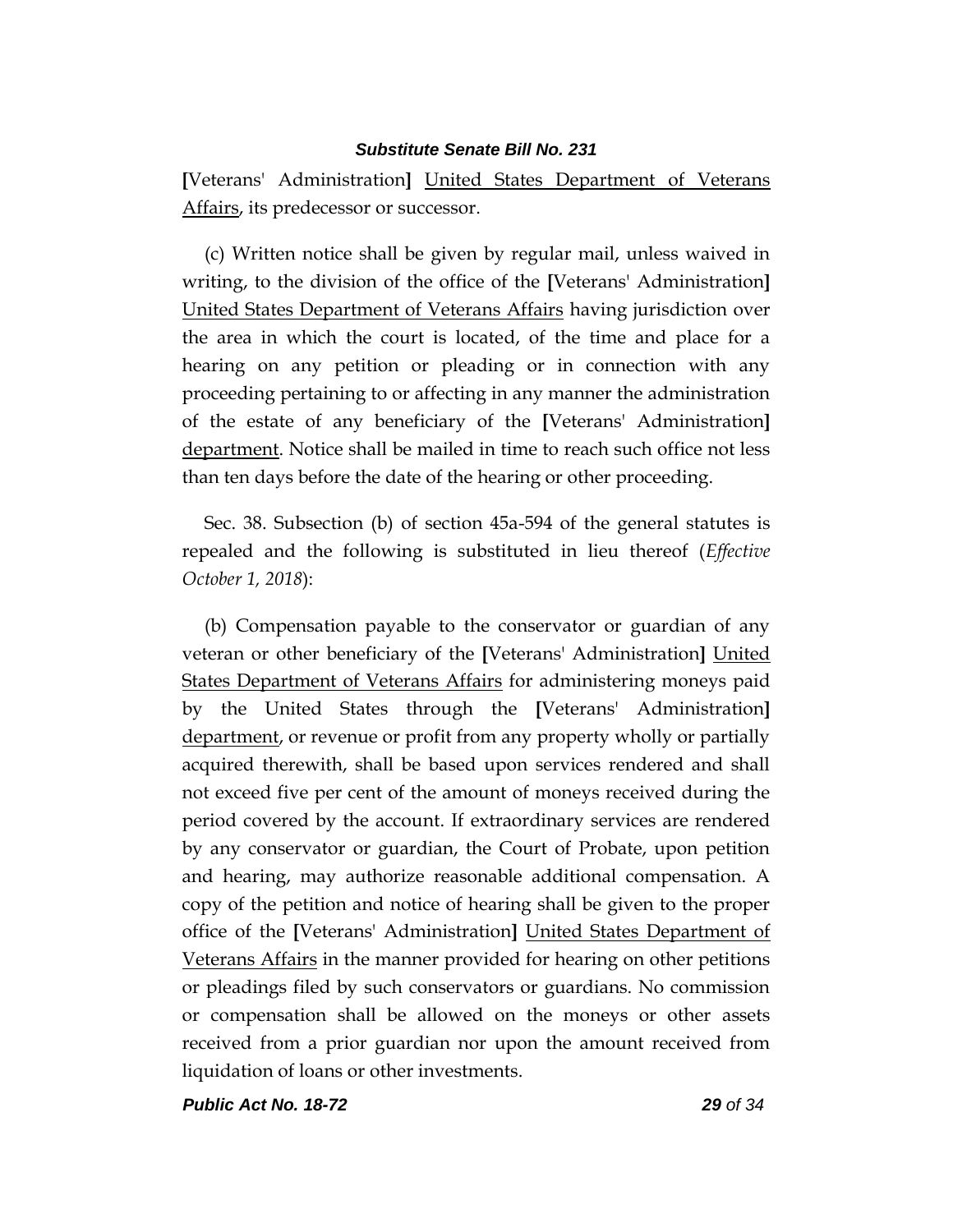**[**Veterans' Administration**]** United States Department of Veterans Affairs, its predecessor or successor.

(c) Written notice shall be given by regular mail, unless waived in writing, to the division of the office of the **[**Veterans' Administration**]** United States Department of Veterans Affairs having jurisdiction over the area in which the court is located, of the time and place for a hearing on any petition or pleading or in connection with any proceeding pertaining to or affecting in any manner the administration of the estate of any beneficiary of the **[**Veterans' Administration**]** department. Notice shall be mailed in time to reach such office not less than ten days before the date of the hearing or other proceeding.

Sec. 38. Subsection (b) of section 45a-594 of the general statutes is repealed and the following is substituted in lieu thereof (*Effective October 1, 2018*):

(b) Compensation payable to the conservator or guardian of any veteran or other beneficiary of the **[**Veterans' Administration**]** United States Department of Veterans Affairs for administering moneys paid by the United States through the **[**Veterans' Administration**]** department, or revenue or profit from any property wholly or partially acquired therewith, shall be based upon services rendered and shall not exceed five per cent of the amount of moneys received during the period covered by the account. If extraordinary services are rendered by any conservator or guardian, the Court of Probate, upon petition and hearing, may authorize reasonable additional compensation. A copy of the petition and notice of hearing shall be given to the proper office of the **[**Veterans' Administration**]** United States Department of Veterans Affairs in the manner provided for hearing on other petitions or pleadings filed by such conservators or guardians. No commission or compensation shall be allowed on the moneys or other assets received from a prior guardian nor upon the amount received from liquidation of loans or other investments.

*Public Act No. 18-72 29 of 34*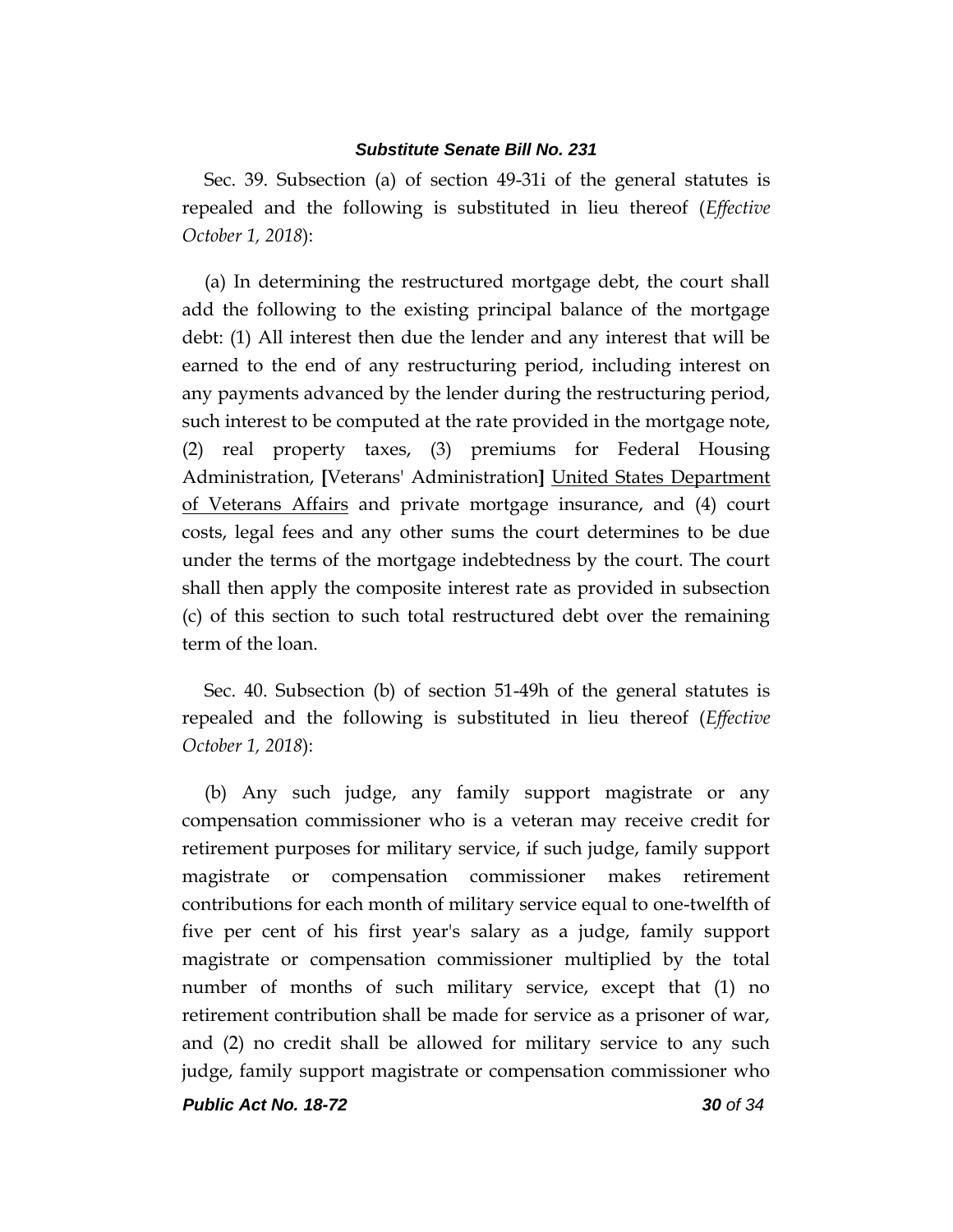Sec. 39. Subsection (a) of section 49-31i of the general statutes is repealed and the following is substituted in lieu thereof (*Effective October 1, 2018*):

(a) In determining the restructured mortgage debt, the court shall add the following to the existing principal balance of the mortgage debt: (1) All interest then due the lender and any interest that will be earned to the end of any restructuring period, including interest on any payments advanced by the lender during the restructuring period, such interest to be computed at the rate provided in the mortgage note, (2) real property taxes, (3) premiums for Federal Housing Administration, **[**Veterans' Administration**]** United States Department of Veterans Affairs and private mortgage insurance, and (4) court costs, legal fees and any other sums the court determines to be due under the terms of the mortgage indebtedness by the court. The court shall then apply the composite interest rate as provided in subsection (c) of this section to such total restructured debt over the remaining term of the loan.

Sec. 40. Subsection (b) of section 51-49h of the general statutes is repealed and the following is substituted in lieu thereof (*Effective October 1, 2018*):

(b) Any such judge, any family support magistrate or any compensation commissioner who is a veteran may receive credit for retirement purposes for military service, if such judge, family support magistrate or compensation commissioner makes retirement contributions for each month of military service equal to one-twelfth of five per cent of his first year's salary as a judge, family support magistrate or compensation commissioner multiplied by the total number of months of such military service, except that (1) no retirement contribution shall be made for service as a prisoner of war, and (2) no credit shall be allowed for military service to any such judge, family support magistrate or compensation commissioner who

*Public Act No. 18-72 30 of 34*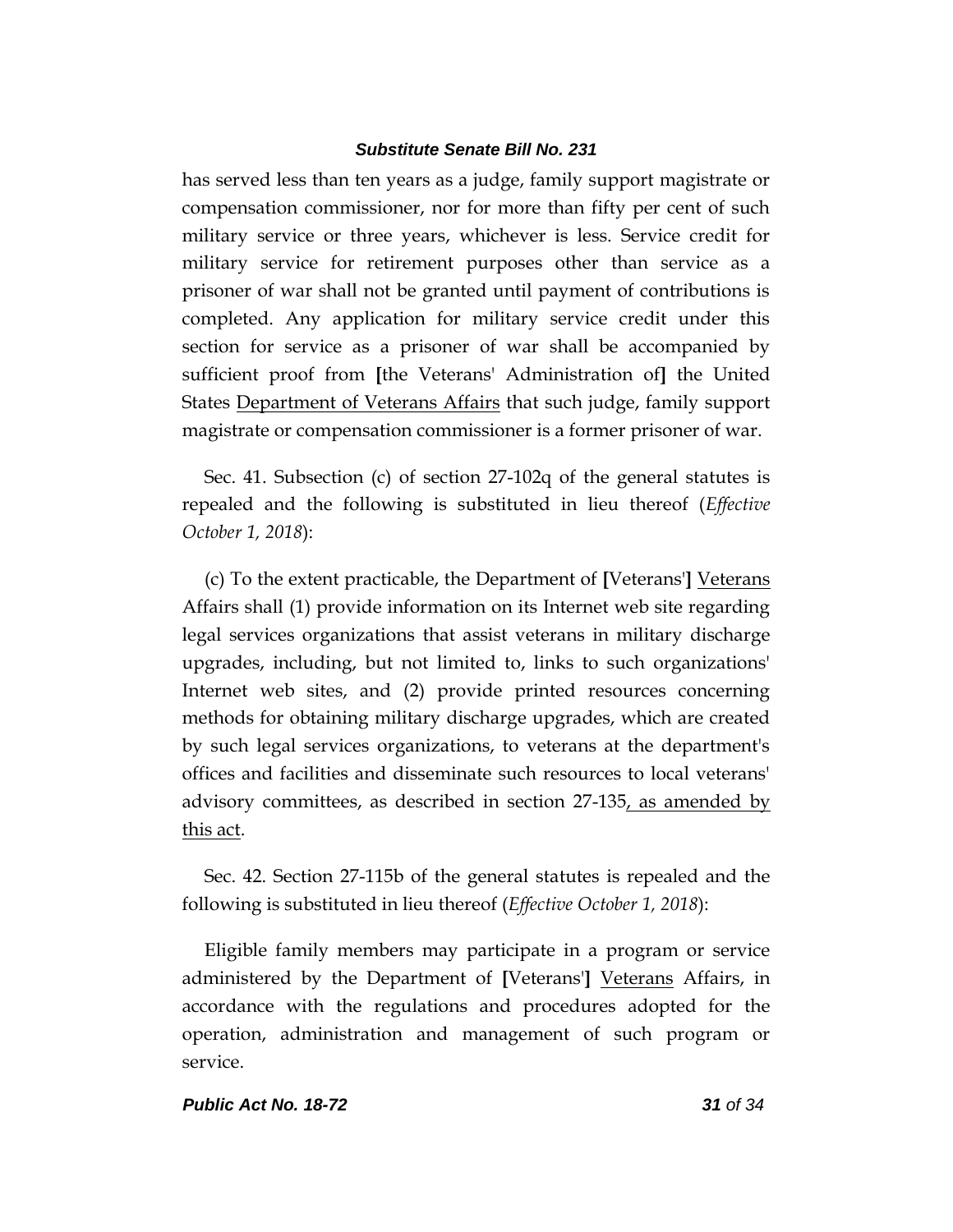has served less than ten years as a judge, family support magistrate or compensation commissioner, nor for more than fifty per cent of such military service or three years, whichever is less. Service credit for military service for retirement purposes other than service as a prisoner of war shall not be granted until payment of contributions is completed. Any application for military service credit under this section for service as a prisoner of war shall be accompanied by sufficient proof from **[**the Veterans' Administration of**]** the United States Department of Veterans Affairs that such judge, family support magistrate or compensation commissioner is a former prisoner of war.

Sec. 41. Subsection (c) of section 27-102q of the general statutes is repealed and the following is substituted in lieu thereof (*Effective October 1, 2018*):

(c) To the extent practicable, the Department of **[**Veterans'**]** Veterans Affairs shall (1) provide information on its Internet web site regarding legal services organizations that assist veterans in military discharge upgrades, including, but not limited to, links to such organizations' Internet web sites, and (2) provide printed resources concerning methods for obtaining military discharge upgrades, which are created by such legal services organizations, to veterans at the department's offices and facilities and disseminate such resources to local veterans' advisory committees, as described in section 27-135, as amended by this act.

Sec. 42. Section 27-115b of the general statutes is repealed and the following is substituted in lieu thereof (*Effective October 1, 2018*):

Eligible family members may participate in a program or service administered by the Department of **[**Veterans'**]** Veterans Affairs, in accordance with the regulations and procedures adopted for the operation, administration and management of such program or service.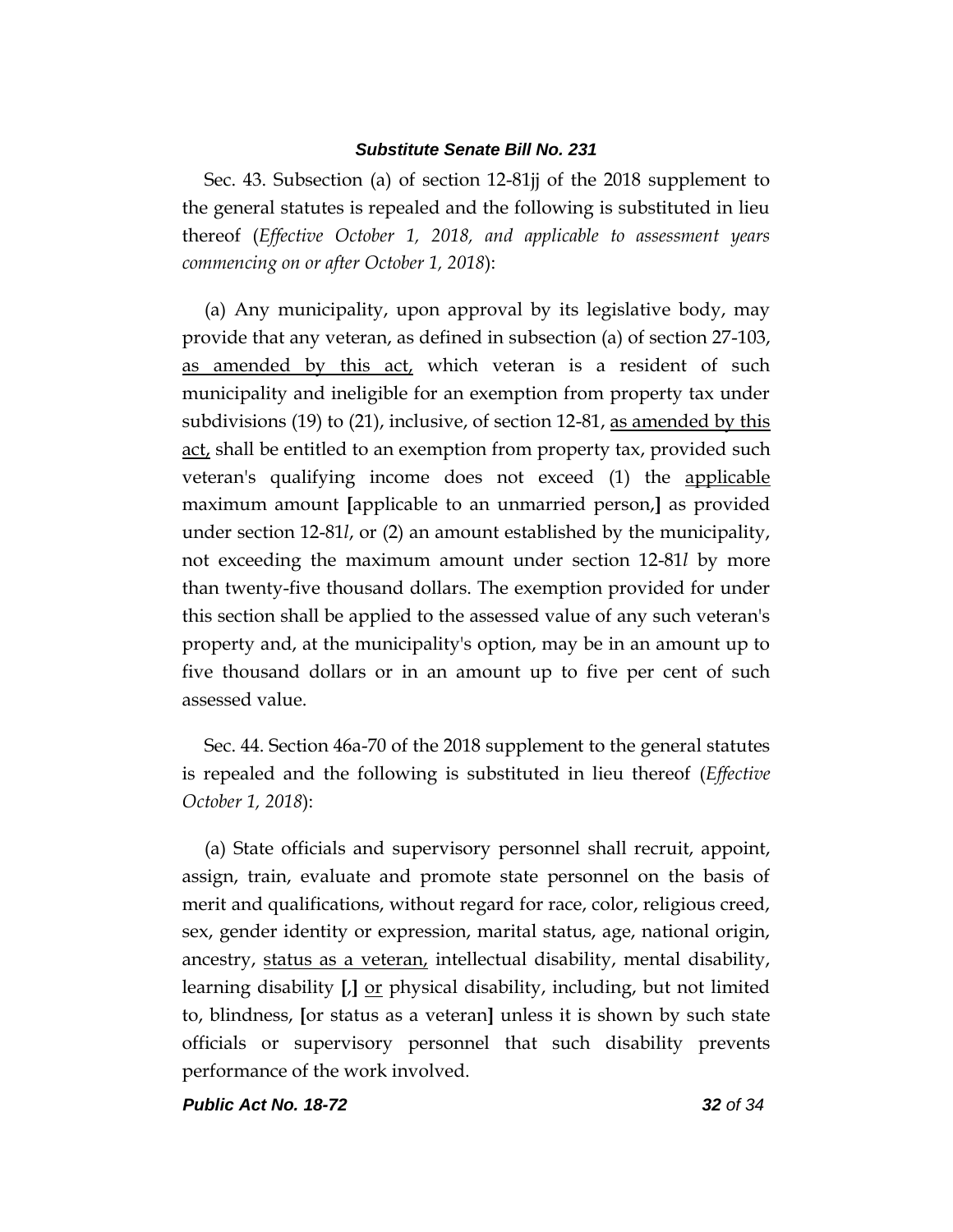Sec. 43. Subsection (a) of section 12-81jj of the 2018 supplement to the general statutes is repealed and the following is substituted in lieu thereof (*Effective October 1, 2018, and applicable to assessment years commencing on or after October 1, 2018*):

(a) Any municipality, upon approval by its legislative body, may provide that any veteran, as defined in subsection (a) of section 27-103, as amended by this act, which veteran is a resident of such municipality and ineligible for an exemption from property tax under subdivisions (19) to (21), inclusive, of section 12-81, as amended by this act, shall be entitled to an exemption from property tax, provided such veteran's qualifying income does not exceed (1) the applicable maximum amount **[**applicable to an unmarried person,**]** as provided under section 12-81*l*, or (2) an amount established by the municipality, not exceeding the maximum amount under section 12-81*l* by more than twenty-five thousand dollars. The exemption provided for under this section shall be applied to the assessed value of any such veteran's property and, at the municipality's option, may be in an amount up to five thousand dollars or in an amount up to five per cent of such assessed value.

Sec. 44. Section 46a-70 of the 2018 supplement to the general statutes is repealed and the following is substituted in lieu thereof (*Effective October 1, 2018*):

(a) State officials and supervisory personnel shall recruit, appoint, assign, train, evaluate and promote state personnel on the basis of merit and qualifications, without regard for race, color, religious creed, sex, gender identity or expression, marital status, age, national origin, ancestry, status as a veteran, intellectual disability, mental disability, learning disability **[**,**]** or physical disability, including, but not limited to, blindness, **[**or status as a veteran**]** unless it is shown by such state officials or supervisory personnel that such disability prevents performance of the work involved.

*Public Act No. 18-72 32 of 34*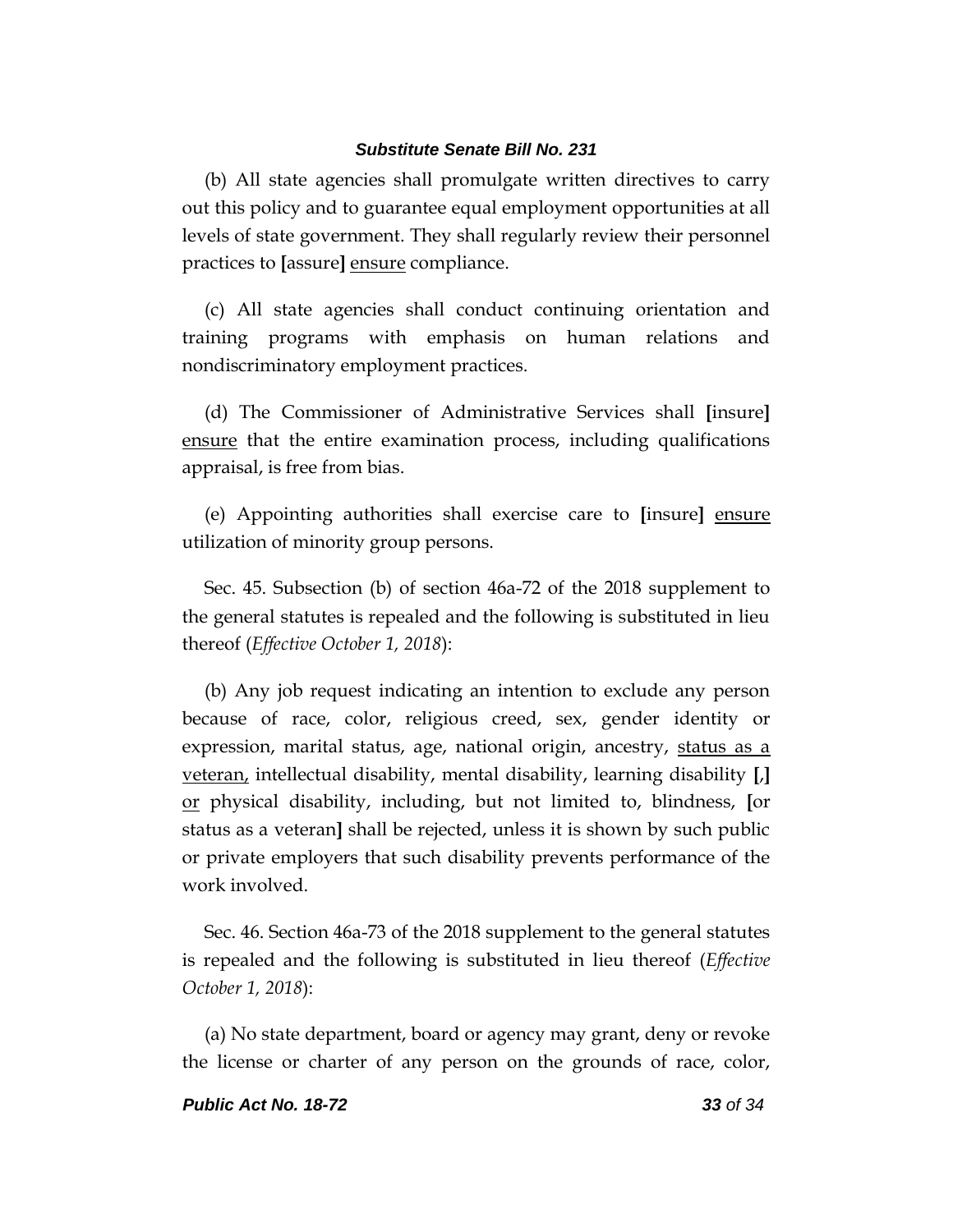(b) All state agencies shall promulgate written directives to carry out this policy and to guarantee equal employment opportunities at all levels of state government. They shall regularly review their personnel practices to **[**assure**]** ensure compliance.

(c) All state agencies shall conduct continuing orientation and training programs with emphasis on human relations and nondiscriminatory employment practices.

(d) The Commissioner of Administrative Services shall **[**insure**]** ensure that the entire examination process, including qualifications appraisal, is free from bias.

(e) Appointing authorities shall exercise care to **[**insure**]** ensure utilization of minority group persons.

Sec. 45. Subsection (b) of section 46a-72 of the 2018 supplement to the general statutes is repealed and the following is substituted in lieu thereof (*Effective October 1, 2018*):

(b) Any job request indicating an intention to exclude any person because of race, color, religious creed, sex, gender identity or expression, marital status, age, national origin, ancestry, status as a veteran, intellectual disability, mental disability, learning disability **[**,**]** or physical disability, including, but not limited to, blindness, **[**or status as a veteran**]** shall be rejected, unless it is shown by such public or private employers that such disability prevents performance of the work involved.

Sec. 46. Section 46a-73 of the 2018 supplement to the general statutes is repealed and the following is substituted in lieu thereof (*Effective October 1, 2018*):

(a) No state department, board or agency may grant, deny or revoke the license or charter of any person on the grounds of race, color,